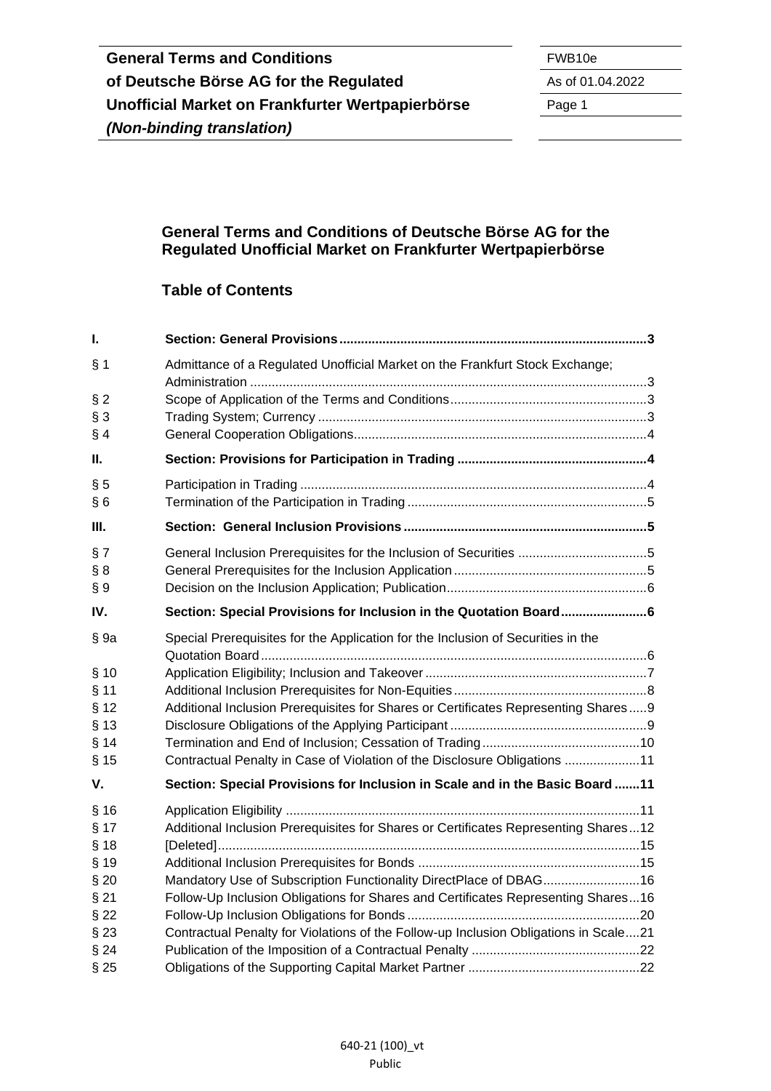#### **General Terms and Conditions of Deutsche Börse AG for the Regulated Unofficial Market on Frankfurter Wertpapierbörse**

## **Table of Contents**

| $\mathbf{I}$ . |                                                                                      |  |
|----------------|--------------------------------------------------------------------------------------|--|
| § 1            | Admittance of a Regulated Unofficial Market on the Frankfurt Stock Exchange;         |  |
| $§$ 2          |                                                                                      |  |
| $§$ 3<br>§ 4   |                                                                                      |  |
| Ш.             |                                                                                      |  |
| § 5            |                                                                                      |  |
| §6             |                                                                                      |  |
| III.           |                                                                                      |  |
| § 7            | General Inclusion Prerequisites for the Inclusion of Securities 5                    |  |
| § 8            |                                                                                      |  |
| $\S 9$         |                                                                                      |  |
| IV.            | Section: Special Provisions for Inclusion in the Quotation Board6                    |  |
| §9a            | Special Prerequisites for the Application for the Inclusion of Securities in the     |  |
| § 10           |                                                                                      |  |
| § 11           |                                                                                      |  |
| § 12           | Additional Inclusion Prerequisites for Shares or Certificates Representing Shares9   |  |
| $§$ 13         |                                                                                      |  |
| § 14           |                                                                                      |  |
| $§$ 15         | Contractual Penalty in Case of Violation of the Disclosure Obligations 11            |  |
| V.             | Section: Special Provisions for Inclusion in Scale and in the Basic Board 11         |  |
| § 16           |                                                                                      |  |
| § 17           | Additional Inclusion Prerequisites for Shares or Certificates Representing Shares12  |  |
| § 18           |                                                                                      |  |
| § 19           |                                                                                      |  |
| $§$ 20         | Mandatory Use of Subscription Functionality DirectPlace of DBAG16                    |  |
| §21            | Follow-Up Inclusion Obligations for Shares and Certificates Representing Shares16    |  |
| $§$ 22         |                                                                                      |  |
| $§$ 23         | Contractual Penalty for Violations of the Follow-up Inclusion Obligations in Scale21 |  |
| §24            |                                                                                      |  |
| §25            |                                                                                      |  |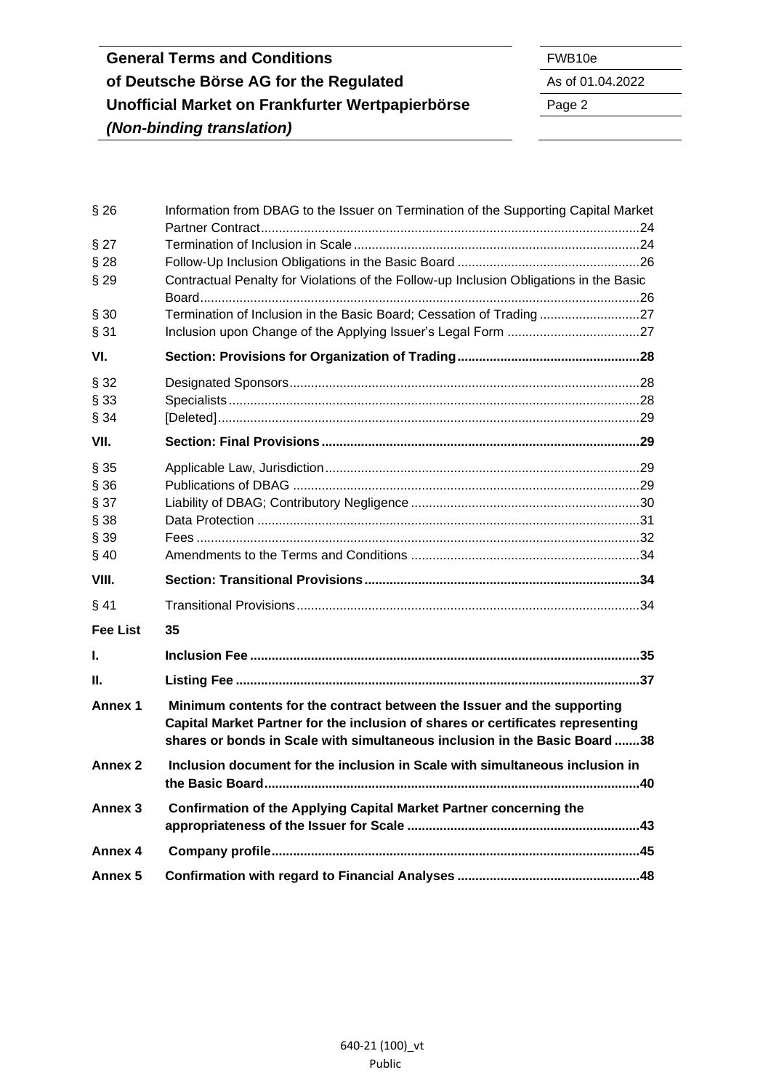| §26                | Information from DBAG to the Issuer on Termination of the Supporting Capital Market                                                                                                                                                      |  |
|--------------------|------------------------------------------------------------------------------------------------------------------------------------------------------------------------------------------------------------------------------------------|--|
|                    |                                                                                                                                                                                                                                          |  |
| $§$ 27             |                                                                                                                                                                                                                                          |  |
| $§$ 28             |                                                                                                                                                                                                                                          |  |
| $§$ 29             | Contractual Penalty for Violations of the Follow-up Inclusion Obligations in the Basic                                                                                                                                                   |  |
| § 30               | Termination of Inclusion in the Basic Board; Cessation of Trading27                                                                                                                                                                      |  |
| § 31               |                                                                                                                                                                                                                                          |  |
| VI.                |                                                                                                                                                                                                                                          |  |
|                    |                                                                                                                                                                                                                                          |  |
| § 32               |                                                                                                                                                                                                                                          |  |
| § 33               |                                                                                                                                                                                                                                          |  |
| § 34               |                                                                                                                                                                                                                                          |  |
| VII.               |                                                                                                                                                                                                                                          |  |
| §35                |                                                                                                                                                                                                                                          |  |
| § 36               |                                                                                                                                                                                                                                          |  |
| § 37               |                                                                                                                                                                                                                                          |  |
| § 38               |                                                                                                                                                                                                                                          |  |
| § 39               |                                                                                                                                                                                                                                          |  |
| §40                |                                                                                                                                                                                                                                          |  |
| VIII.              |                                                                                                                                                                                                                                          |  |
| §41                |                                                                                                                                                                                                                                          |  |
| <b>Fee List</b>    | 35                                                                                                                                                                                                                                       |  |
| L                  |                                                                                                                                                                                                                                          |  |
| Ш.                 |                                                                                                                                                                                                                                          |  |
| Annex 1            | Minimum contents for the contract between the Issuer and the supporting<br>Capital Market Partner for the inclusion of shares or certificates representing<br>shares or bonds in Scale with simultaneous inclusion in the Basic Board 38 |  |
| Annex 2            | Inclusion document for the inclusion in Scale with simultaneous inclusion in                                                                                                                                                             |  |
| Annex <sub>3</sub> | Confirmation of the Applying Capital Market Partner concerning the                                                                                                                                                                       |  |
| Annex 4            |                                                                                                                                                                                                                                          |  |
| Annex 5            |                                                                                                                                                                                                                                          |  |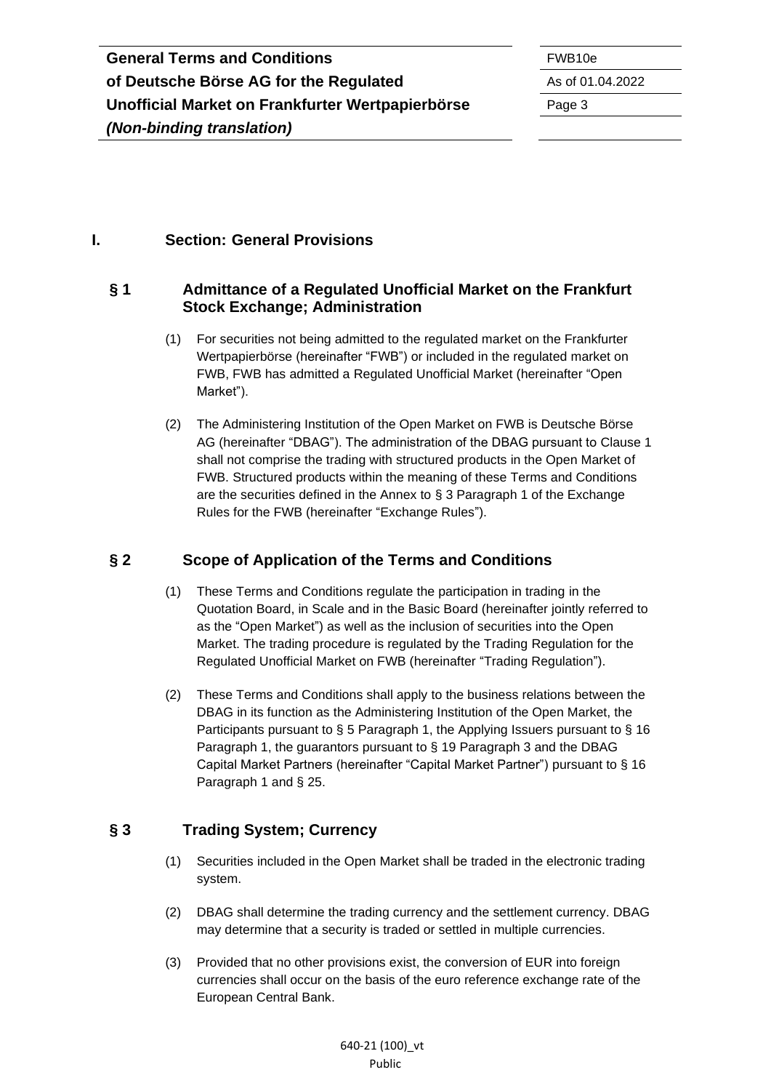#### <span id="page-2-0"></span>**I. Section: General Provisions**

#### <span id="page-2-1"></span>**§ 1 Admittance of a Regulated Unofficial Market on the Frankfurt Stock Exchange; Administration**

- (1) For securities not being admitted to the regulated market on the Frankfurter Wertpapierbörse (hereinafter "FWB") or included in the regulated market on FWB, FWB has admitted a Regulated Unofficial Market (hereinafter "Open Market").
- (2) The Administering Institution of the Open Market on FWB is Deutsche Börse AG (hereinafter "DBAG"). The administration of the DBAG pursuant to Clause 1 shall not comprise the trading with structured products in the Open Market of FWB. Structured products within the meaning of these Terms and Conditions are the securities defined in the Annex to § 3 Paragraph 1 of the Exchange Rules for the FWB (hereinafter "Exchange Rules").

### <span id="page-2-2"></span>**§ 2 Scope of Application of the Terms and Conditions**

- (1) These Terms and Conditions regulate the participation in trading in the Quotation Board, in Scale and in the Basic Board (hereinafter jointly referred to as the "Open Market") as well as the inclusion of securities into the Open Market. The trading procedure is regulated by the Trading Regulation for the Regulated Unofficial Market on FWB (hereinafter "Trading Regulation").
- (2) These Terms and Conditions shall apply to the business relations between the DBAG in its function as the Administering Institution of the Open Market, the Participants pursuant to § 5 Paragraph 1, the Applying Issuers pursuant to § 16 Paragraph 1, the guarantors pursuant to § 19 Paragraph 3 and the DBAG Capital Market Partners (hereinafter "Capital Market Partner") pursuant to § 16 Paragraph 1 and § 25.

### <span id="page-2-3"></span>**§ 3 Trading System; Currency**

- (1) Securities included in the Open Market shall be traded in the electronic trading system.
- (2) DBAG shall determine the trading currency and the settlement currency. DBAG may determine that a security is traded or settled in multiple currencies.
- (3) Provided that no other provisions exist, the conversion of EUR into foreign currencies shall occur on the basis of the euro reference exchange rate of the European Central Bank.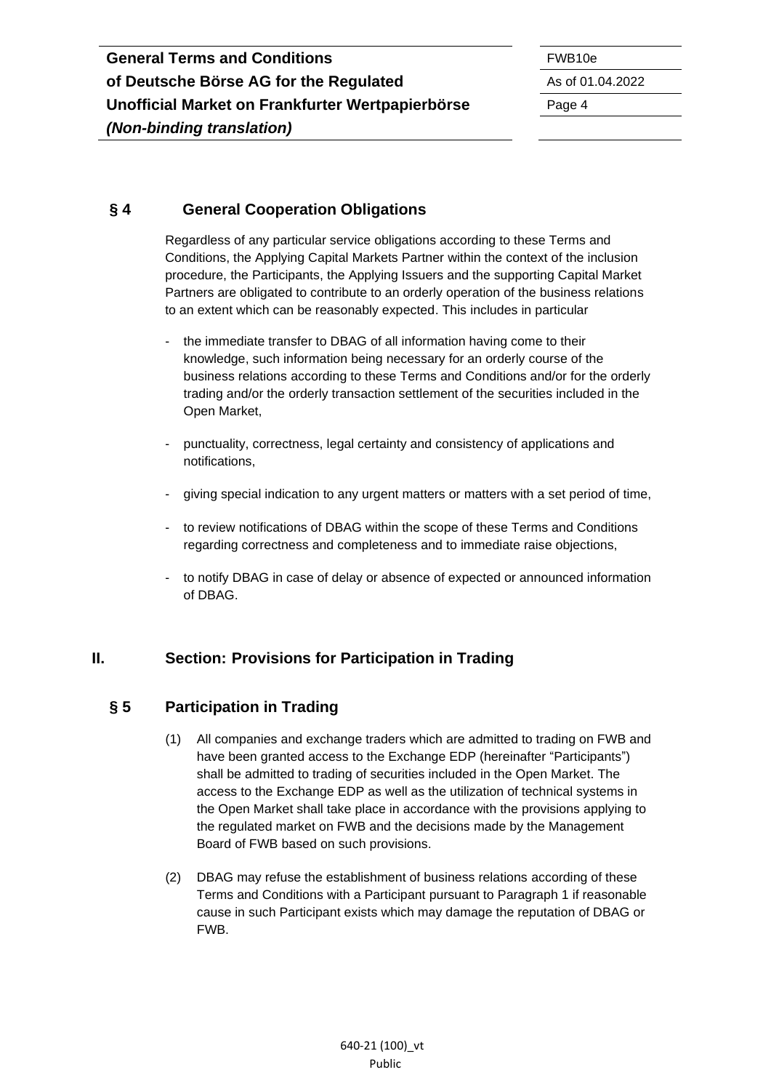#### <span id="page-3-0"></span>**§ 4 General Cooperation Obligations**

Regardless of any particular service obligations according to these Terms and Conditions, the Applying Capital Markets Partner within the context of the inclusion procedure, the Participants, the Applying Issuers and the supporting Capital Market Partners are obligated to contribute to an orderly operation of the business relations to an extent which can be reasonably expected. This includes in particular

- the immediate transfer to DBAG of all information having come to their knowledge, such information being necessary for an orderly course of the business relations according to these Terms and Conditions and/or for the orderly trading and/or the orderly transaction settlement of the securities included in the Open Market,
- punctuality, correctness, legal certainty and consistency of applications and notifications,
- giving special indication to any urgent matters or matters with a set period of time,
- to review notifications of DBAG within the scope of these Terms and Conditions regarding correctness and completeness and to immediate raise objections,
- to notify DBAG in case of delay or absence of expected or announced information of DBAG.

#### <span id="page-3-1"></span>**II. Section: Provisions for Participation in Trading**

### <span id="page-3-2"></span>**§ 5 Participation in Trading**

- (1) All companies and exchange traders which are admitted to trading on FWB and have been granted access to the Exchange EDP (hereinafter "Participants") shall be admitted to trading of securities included in the Open Market. The access to the Exchange EDP as well as the utilization of technical systems in the Open Market shall take place in accordance with the provisions applying to the regulated market on FWB and the decisions made by the Management Board of FWB based on such provisions.
- (2) DBAG may refuse the establishment of business relations according of these Terms and Conditions with a Participant pursuant to Paragraph 1 if reasonable cause in such Participant exists which may damage the reputation of DBAG or FWB.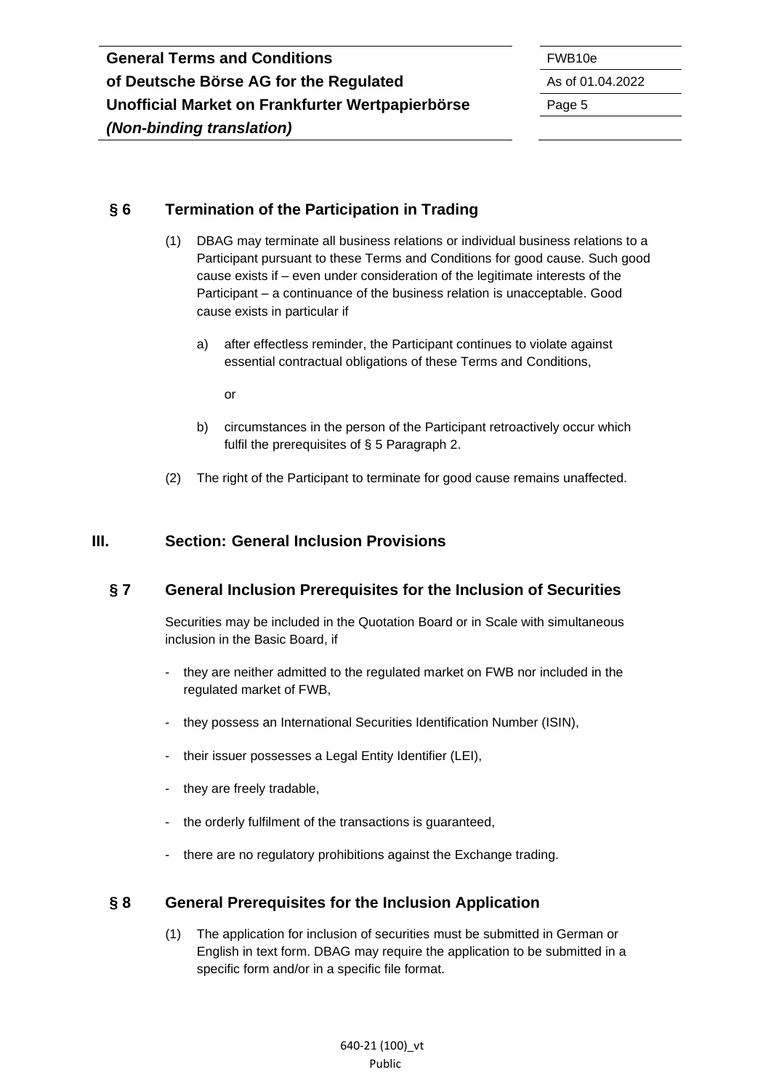#### <span id="page-4-0"></span>**§ 6 Termination of the Participation in Trading**

- (1) DBAG may terminate all business relations or individual business relations to a Participant pursuant to these Terms and Conditions for good cause. Such good cause exists if – even under consideration of the legitimate interests of the Participant – a continuance of the business relation is unacceptable. Good cause exists in particular if
	- a) after effectless reminder, the Participant continues to violate against essential contractual obligations of these Terms and Conditions,

or

- b) circumstances in the person of the Participant retroactively occur which fulfil the prerequisites of § 5 Paragraph 2.
- (2) The right of the Participant to terminate for good cause remains unaffected.

#### <span id="page-4-1"></span>**III. Section: General Inclusion Provisions**

#### <span id="page-4-2"></span>**§ 7 General Inclusion Prerequisites for the Inclusion of Securities**

Securities may be included in the Quotation Board or in Scale with simultaneous inclusion in the Basic Board, if

- they are neither admitted to the regulated market on FWB nor included in the regulated market of FWB,
- they possess an International Securities Identification Number (ISIN),
- their issuer possesses a Legal Entity Identifier (LEI),
- they are freely tradable,
- the orderly fulfilment of the transactions is guaranteed,
- there are no regulatory prohibitions against the Exchange trading.

#### <span id="page-4-3"></span>**§ 8 General Prerequisites for the Inclusion Application**

(1) The application for inclusion of securities must be submitted in German or English in text form. DBAG may require the application to be submitted in a specific form and/or in a specific file format.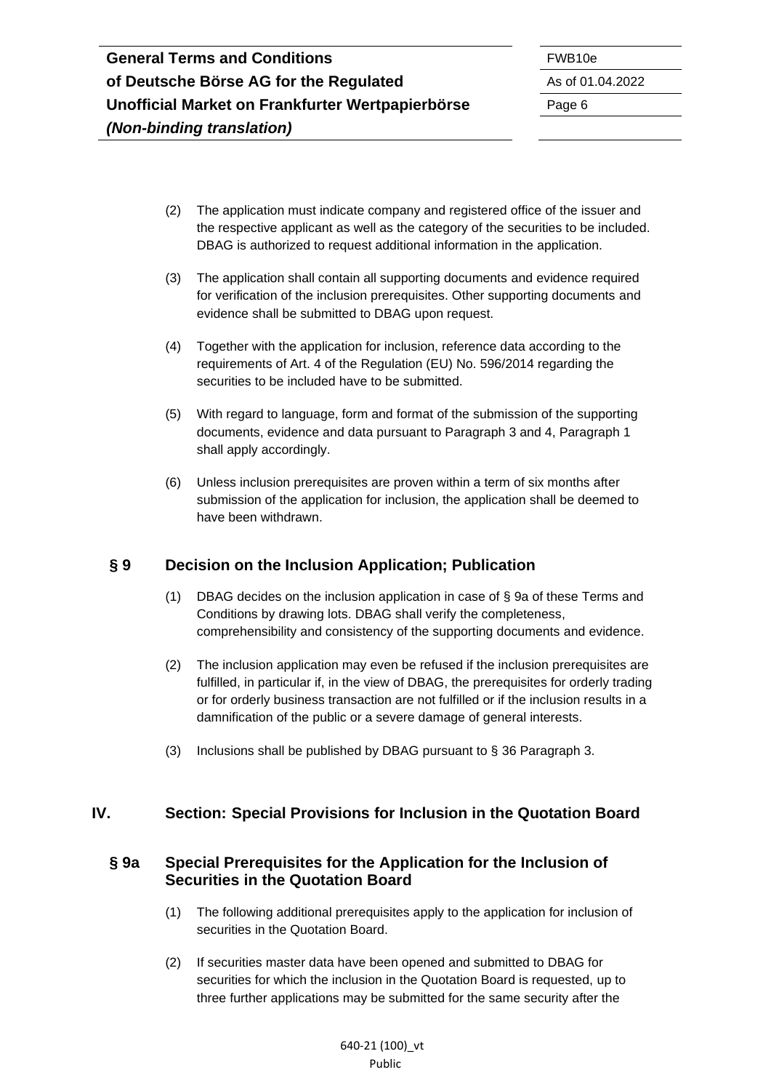- (2) The application must indicate company and registered office of the issuer and the respective applicant as well as the category of the securities to be included. DBAG is authorized to request additional information in the application.
- (3) The application shall contain all supporting documents and evidence required for verification of the inclusion prerequisites. Other supporting documents and evidence shall be submitted to DBAG upon request.
- (4) Together with the application for inclusion, reference data according to the requirements of Art. 4 of the Regulation (EU) No. 596/2014 regarding the securities to be included have to be submitted.
- (5) With regard to language, form and format of the submission of the supporting documents, evidence and data pursuant to Paragraph 3 and 4, Paragraph 1 shall apply accordingly.
- (6) Unless inclusion prerequisites are proven within a term of six months after submission of the application for inclusion, the application shall be deemed to have been withdrawn.

### <span id="page-5-0"></span>**§ 9 Decision on the Inclusion Application; Publication**

- (1) DBAG decides on the inclusion application in case of § 9a of these Terms and Conditions by drawing lots. DBAG shall verify the completeness, comprehensibility and consistency of the supporting documents and evidence.
- (2) The inclusion application may even be refused if the inclusion prerequisites are fulfilled, in particular if, in the view of DBAG, the prerequisites for orderly trading or for orderly business transaction are not fulfilled or if the inclusion results in a damnification of the public or a severe damage of general interests.
- (3) Inclusions shall be published by DBAG pursuant to § 36 Paragraph 3.

### <span id="page-5-1"></span>**IV. Section: Special Provisions for Inclusion in the Quotation Board**

#### <span id="page-5-2"></span>**§ 9a Special Prerequisites for the Application for the Inclusion of Securities in the Quotation Board**

- (1) The following additional prerequisites apply to the application for inclusion of securities in the Quotation Board.
- (2) If securities master data have been opened and submitted to DBAG for securities for which the inclusion in the Quotation Board is requested, up to three further applications may be submitted for the same security after the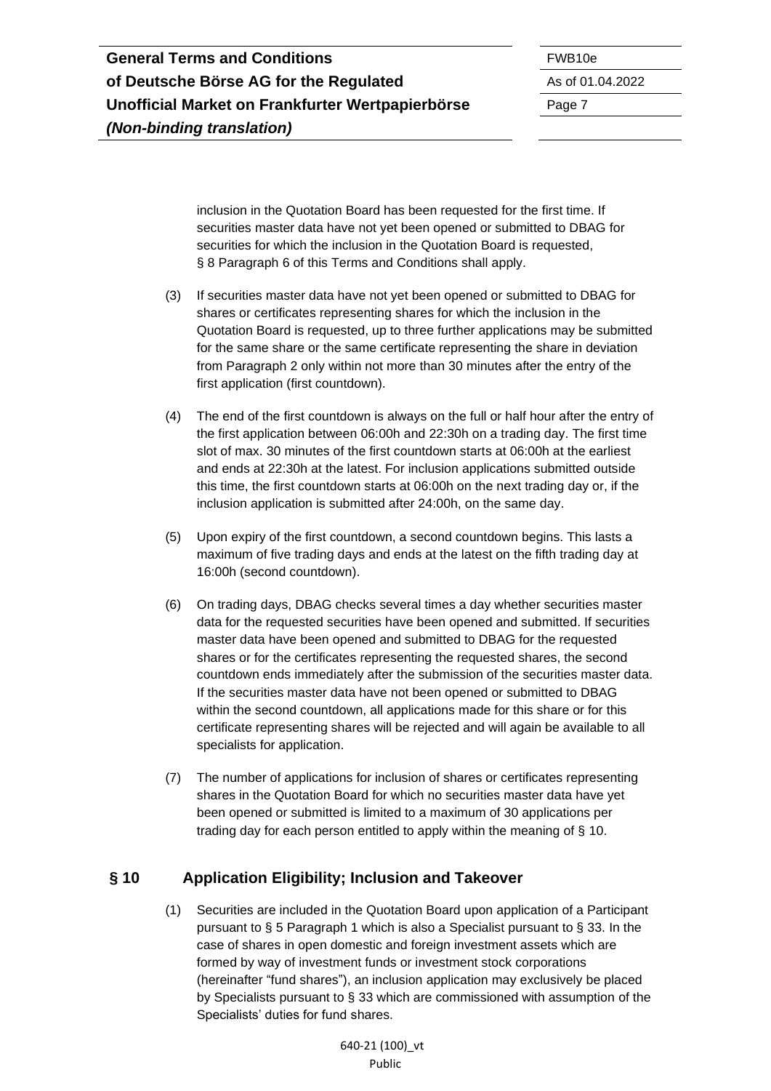| <b>General Terms and Conditions</b>              | FWB <sub>10e</sub> |
|--------------------------------------------------|--------------------|
| of Deutsche Börse AG for the Regulated           | As of 01.          |
| Unofficial Market on Frankfurter Wertpapierbörse | Page 7             |
| (Non-binding translation)                        |                    |

**of Deutsche Börse AG for the Regulated** As of 01.04.2022

inclusion in the Quotation Board has been requested for the first time. If securities master data have not yet been opened or submitted to DBAG for securities for which the inclusion in the Quotation Board is requested, § 8 Paragraph 6 of this Terms and Conditions shall apply.

- (3) If securities master data have not yet been opened or submitted to DBAG for shares or certificates representing shares for which the inclusion in the Quotation Board is requested, up to three further applications may be submitted for the same share or the same certificate representing the share in deviation from Paragraph 2 only within not more than 30 minutes after the entry of the first application (first countdown).
- (4) The end of the first countdown is always on the full or half hour after the entry of the first application between 06:00h and 22:30h on a trading day. The first time slot of max. 30 minutes of the first countdown starts at 06:00h at the earliest and ends at 22:30h at the latest. For inclusion applications submitted outside this time, the first countdown starts at 06:00h on the next trading day or, if the inclusion application is submitted after 24:00h, on the same day.
- (5) Upon expiry of the first countdown, a second countdown begins. This lasts a maximum of five trading days and ends at the latest on the fifth trading day at 16:00h (second countdown).
- (6) On trading days, DBAG checks several times a day whether securities master data for the requested securities have been opened and submitted. If securities master data have been opened and submitted to DBAG for the requested shares or for the certificates representing the requested shares, the second countdown ends immediately after the submission of the securities master data. If the securities master data have not been opened or submitted to DBAG within the second countdown, all applications made for this share or for this certificate representing shares will be rejected and will again be available to all specialists for application.
- (7) The number of applications for inclusion of shares or certificates representing shares in the Quotation Board for which no securities master data have yet been opened or submitted is limited to a maximum of 30 applications per trading day for each person entitled to apply within the meaning of § 10.

### <span id="page-6-0"></span>**§ 10 Application Eligibility; Inclusion and Takeover**

(1) Securities are included in the Quotation Board upon application of a Participant pursuant to § 5 Paragraph 1 which is also a Specialist pursuant to § 33. In the case of shares in open domestic and foreign investment assets which are formed by way of investment funds or investment stock corporations (hereinafter "fund shares"), an inclusion application may exclusively be placed by Specialists pursuant to § 33 which are commissioned with assumption of the Specialists' duties for fund shares.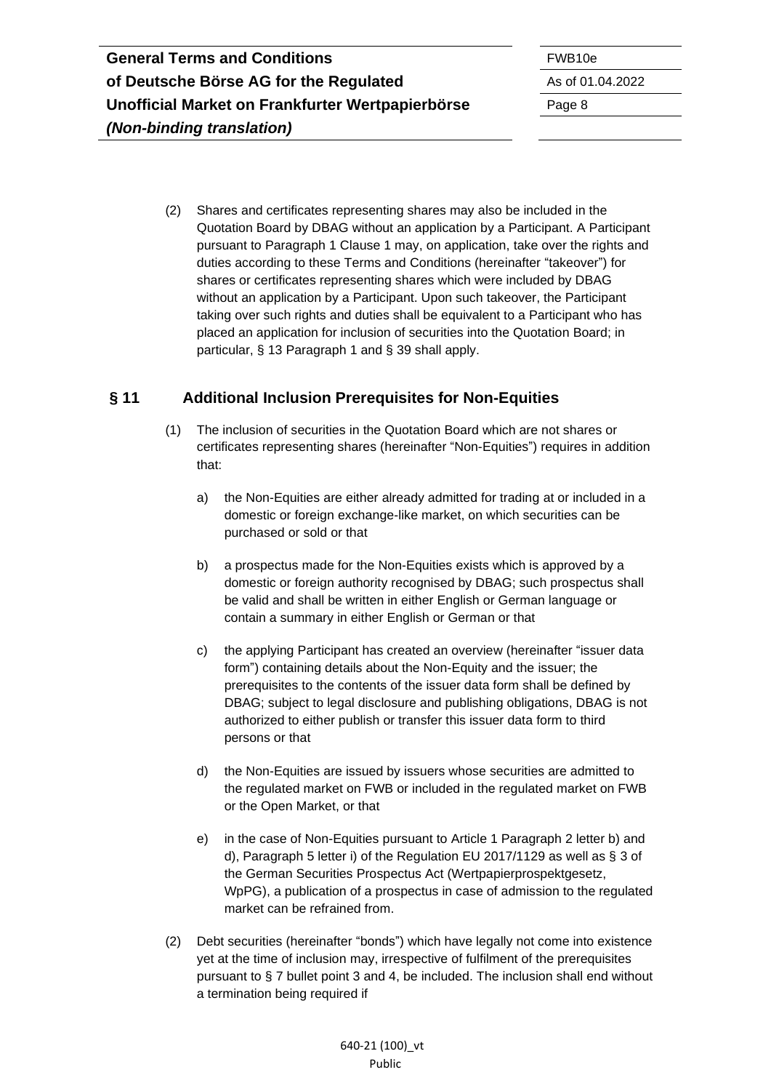(2) Shares and certificates representing shares may also be included in the Quotation Board by DBAG without an application by a Participant. A Participant pursuant to Paragraph 1 Clause 1 may, on application, take over the rights and duties according to these Terms and Conditions (hereinafter "takeover") for shares or certificates representing shares which were included by DBAG without an application by a Participant. Upon such takeover, the Participant taking over such rights and duties shall be equivalent to a Participant who has placed an application for inclusion of securities into the Quotation Board; in particular, § 13 Paragraph 1 and § 39 shall apply.

### <span id="page-7-0"></span>**§ 11 Additional Inclusion Prerequisites for Non-Equities**

- (1) The inclusion of securities in the Quotation Board which are not shares or certificates representing shares (hereinafter "Non-Equities") requires in addition that:
	- a) the Non-Equities are either already admitted for trading at or included in a domestic or foreign exchange-like market, on which securities can be purchased or sold or that
	- b) a prospectus made for the Non-Equities exists which is approved by a domestic or foreign authority recognised by DBAG; such prospectus shall be valid and shall be written in either English or German language or contain a summary in either English or German or that
	- c) the applying Participant has created an overview (hereinafter "issuer data form") containing details about the Non-Equity and the issuer; the prerequisites to the contents of the issuer data form shall be defined by DBAG; subject to legal disclosure and publishing obligations, DBAG is not authorized to either publish or transfer this issuer data form to third persons or that
	- d) the Non-Equities are issued by issuers whose securities are admitted to the regulated market on FWB or included in the regulated market on FWB or the Open Market, or that
	- e) in the case of Non-Equities pursuant to Article 1 Paragraph 2 letter b) and d), Paragraph 5 letter i) of the Regulation EU 2017/1129 as well as § 3 of the German Securities Prospectus Act (Wertpapierprospektgesetz, WpPG), a publication of a prospectus in case of admission to the regulated market can be refrained from.
- (2) Debt securities (hereinafter "bonds") which have legally not come into existence yet at the time of inclusion may, irrespective of fulfilment of the prerequisites pursuant to § 7 bullet point 3 and 4, be included. The inclusion shall end without a termination being required if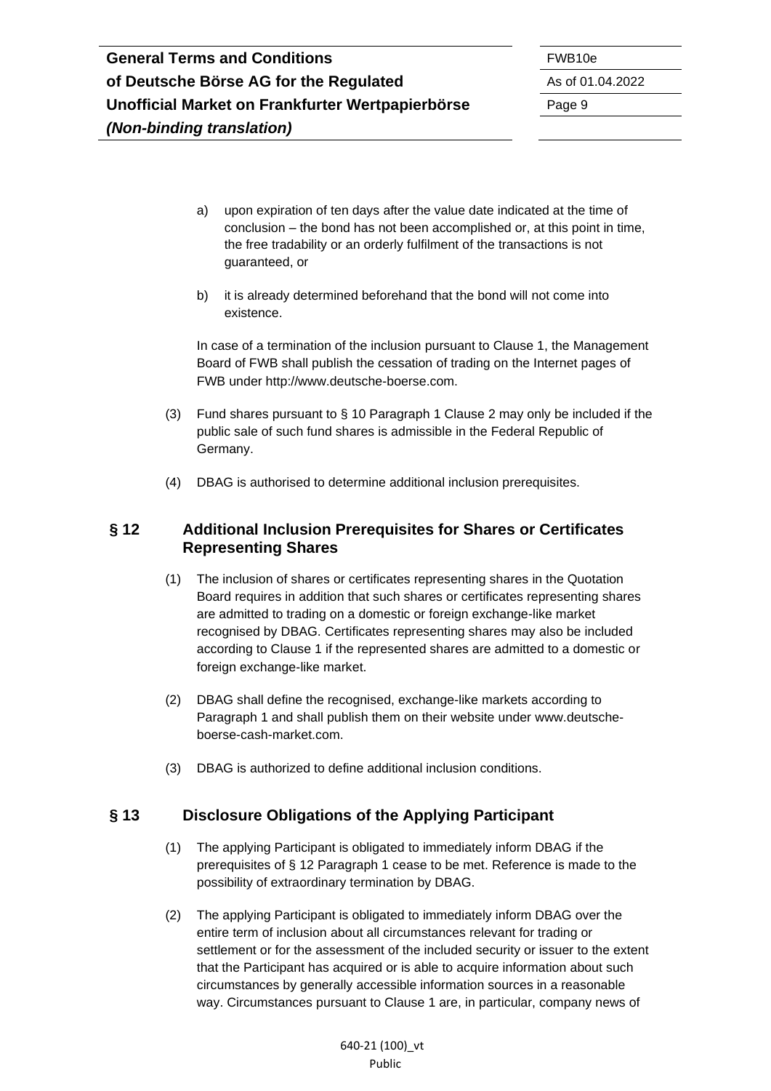- a) upon expiration of ten days after the value date indicated at the time of conclusion – the bond has not been accomplished or, at this point in time, the free tradability or an orderly fulfilment of the transactions is not guaranteed, or
- b) it is already determined beforehand that the bond will not come into existence.

In case of a termination of the inclusion pursuant to Clause 1, the Management Board of FWB shall publish the cessation of trading on the Internet pages of FWB under http://www.deutsche-boerse.com.

- (3) Fund shares pursuant to § 10 Paragraph 1 Clause 2 may only be included if the public sale of such fund shares is admissible in the Federal Republic of Germany.
- (4) DBAG is authorised to determine additional inclusion prerequisites.

#### <span id="page-8-0"></span>**§ 12 Additional Inclusion Prerequisites for Shares or Certificates Representing Shares**

- (1) The inclusion of shares or certificates representing shares in the Quotation Board requires in addition that such shares or certificates representing shares are admitted to trading on a domestic or foreign exchange-like market recognised by DBAG. Certificates representing shares may also be included according to Clause 1 if the represented shares are admitted to a domestic or foreign exchange-like market.
- (2) DBAG shall define the recognised, exchange-like markets according to Paragraph 1 and shall publish them on their website under www.deutscheboerse-cash-market.com.
- (3) DBAG is authorized to define additional inclusion conditions.

# <span id="page-8-1"></span>**§ 13 Disclosure Obligations of the Applying Participant**

- (1) The applying Participant is obligated to immediately inform DBAG if the prerequisites of § 12 Paragraph 1 cease to be met. Reference is made to the possibility of extraordinary termination by DBAG.
- (2) The applying Participant is obligated to immediately inform DBAG over the entire term of inclusion about all circumstances relevant for trading or settlement or for the assessment of the included security or issuer to the extent that the Participant has acquired or is able to acquire information about such circumstances by generally accessible information sources in a reasonable way. Circumstances pursuant to Clause 1 are, in particular, company news of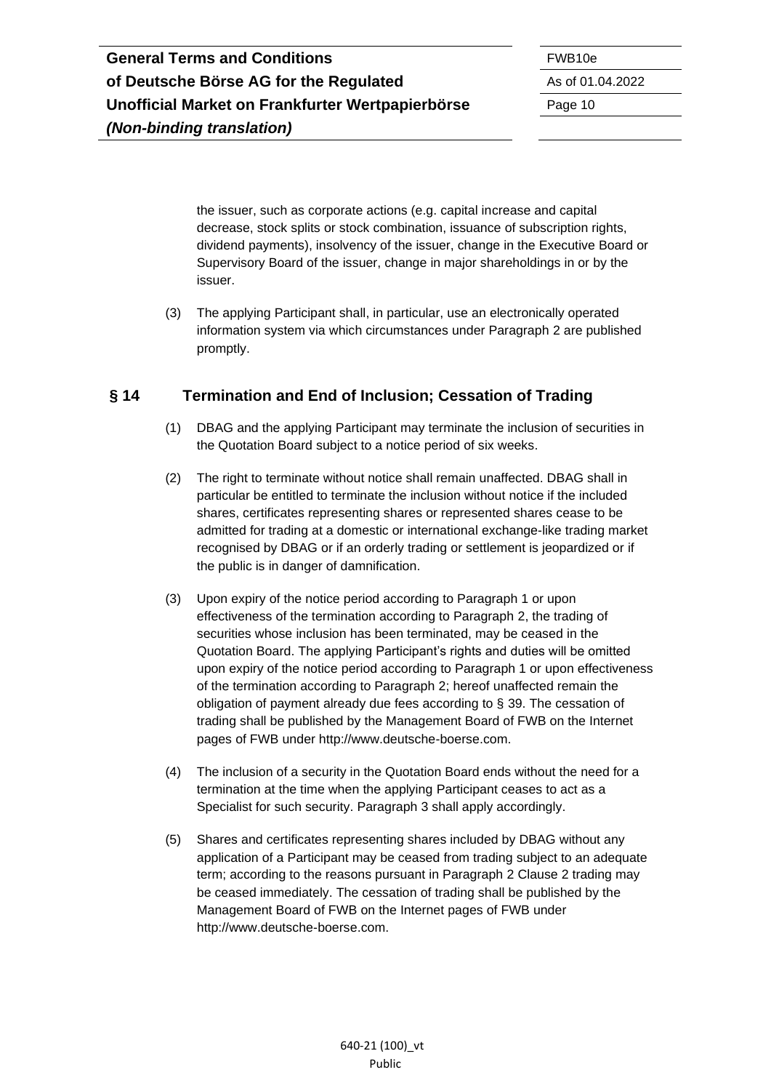the issuer, such as corporate actions (e.g. capital increase and capital decrease, stock splits or stock combination, issuance of subscription rights, dividend payments), insolvency of the issuer, change in the Executive Board or Supervisory Board of the issuer, change in major shareholdings in or by the issuer.

(3) The applying Participant shall, in particular, use an electronically operated information system via which circumstances under Paragraph 2 are published promptly.

## <span id="page-9-0"></span>**§ 14 Termination and End of Inclusion; Cessation of Trading**

- (1) DBAG and the applying Participant may terminate the inclusion of securities in the Quotation Board subject to a notice period of six weeks.
- (2) The right to terminate without notice shall remain unaffected. DBAG shall in particular be entitled to terminate the inclusion without notice if the included shares, certificates representing shares or represented shares cease to be admitted for trading at a domestic or international exchange-like trading market recognised by DBAG or if an orderly trading or settlement is jeopardized or if the public is in danger of damnification.
- (3) Upon expiry of the notice period according to Paragraph 1 or upon effectiveness of the termination according to Paragraph 2, the trading of securities whose inclusion has been terminated, may be ceased in the Quotation Board. The applying Participant's rights and duties will be omitted upon expiry of the notice period according to Paragraph 1 or upon effectiveness of the termination according to Paragraph 2; hereof unaffected remain the obligation of payment already due fees according to § 39. The cessation of trading shall be published by the Management Board of FWB on the Internet pages of FWB under http://www.deutsche-boerse.com.
- (4) The inclusion of a security in the Quotation Board ends without the need for a termination at the time when the applying Participant ceases to act as a Specialist for such security. Paragraph 3 shall apply accordingly.
- (5) Shares and certificates representing shares included by DBAG without any application of a Participant may be ceased from trading subject to an adequate term; according to the reasons pursuant in Paragraph 2 Clause 2 trading may be ceased immediately. The cessation of trading shall be published by the Management Board of FWB on the Internet pages of FWB under http://www.deutsche-boerse.com.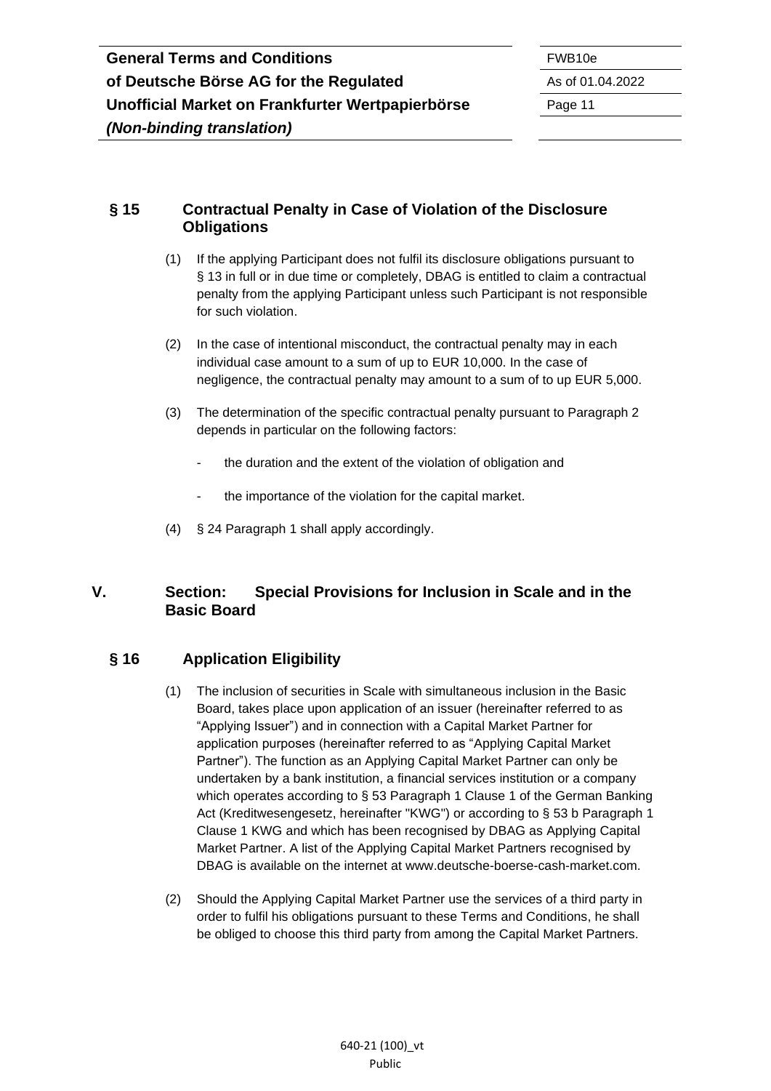#### <span id="page-10-0"></span>**§ 15 Contractual Penalty in Case of Violation of the Disclosure Obligations**

- (1) If the applying Participant does not fulfil its disclosure obligations pursuant to § 13 in full or in due time or completely, DBAG is entitled to claim a contractual penalty from the applying Participant unless such Participant is not responsible for such violation.
- (2) In the case of intentional misconduct, the contractual penalty may in each individual case amount to a sum of up to EUR 10,000. In the case of negligence, the contractual penalty may amount to a sum of to up EUR 5,000.
- (3) The determination of the specific contractual penalty pursuant to Paragraph 2 depends in particular on the following factors:
	- the duration and the extent of the violation of obligation and
	- the importance of the violation for the capital market.
- (4) § 24 Paragraph 1 shall apply accordingly.

### <span id="page-10-1"></span>**V. Section: Special Provisions for Inclusion in Scale and in the Basic Board**

### <span id="page-10-2"></span>**§ 16 Application Eligibility**

- (1) The inclusion of securities in Scale with simultaneous inclusion in the Basic Board, takes place upon application of an issuer (hereinafter referred to as "Applying Issuer") and in connection with a Capital Market Partner for application purposes (hereinafter referred to as "Applying Capital Market Partner"). The function as an Applying Capital Market Partner can only be undertaken by a bank institution, a financial services institution or a company which operates according to § 53 Paragraph 1 Clause 1 of the German Banking Act (Kreditwesengesetz, hereinafter "KWG") or according to § 53 b Paragraph 1 Clause 1 KWG and which has been recognised by DBAG as Applying Capital Market Partner. A list of the Applying Capital Market Partners recognised by DBAG is available on the internet at [www.deutsche-boerse-cash-market.com.](http://www.deutsche-boerse-cash-market.com/)
- (2) Should the Applying Capital Market Partner use the services of a third party in order to fulfil his obligations pursuant to these Terms and Conditions, he shall be obliged to choose this third party from among the Capital Market Partners.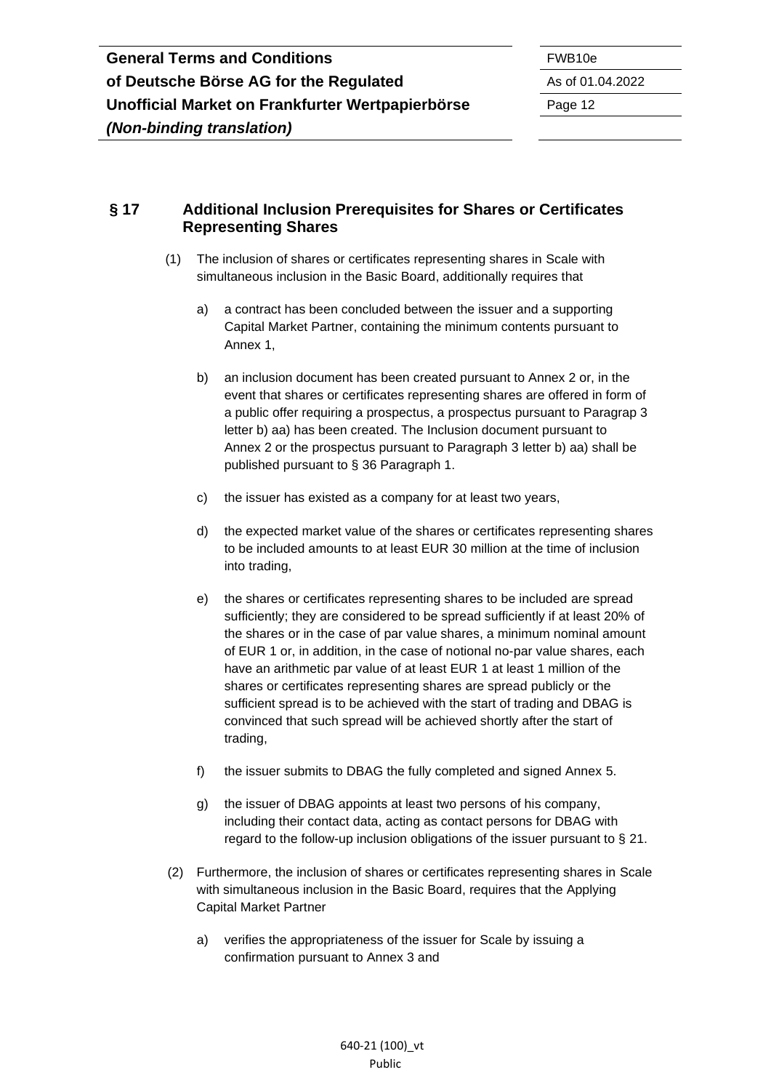#### <span id="page-11-0"></span>**§ 17 Additional Inclusion Prerequisites for Shares or Certificates Representing Shares**

- (1) The inclusion of shares or certificates representing shares in Scale with simultaneous inclusion in the Basic Board, additionally requires that
	- a) a contract has been concluded between the issuer and a supporting Capital Market Partner, containing the minimum contents pursuant to Annex 1,
	- b) an inclusion document has been created pursuant to Annex 2 or, in the event that shares or certificates representing shares are offered in form of a public offer requiring a prospectus, a prospectus pursuant to Paragrap 3 letter b) aa) has been created. The Inclusion document pursuant to Annex 2 or the prospectus pursuant to Paragraph 3 letter b) aa) shall be published pursuant to § 36 Paragraph 1.
	- c) the issuer has existed as a company for at least two years,
	- d) the expected market value of the shares or certificates representing shares to be included amounts to at least EUR 30 million at the time of inclusion into trading,
	- e) the shares or certificates representing shares to be included are spread sufficiently; they are considered to be spread sufficiently if at least 20% of the shares or in the case of par value shares, a minimum nominal amount of EUR 1 or, in addition, in the case of notional no-par value shares, each have an arithmetic par value of at least EUR 1 at least 1 million of the shares or certificates representing shares are spread publicly or the sufficient spread is to be achieved with the start of trading and DBAG is convinced that such spread will be achieved shortly after the start of trading,
	- f) the issuer submits to DBAG the fully completed and signed Annex 5.
	- g) the issuer of DBAG appoints at least two persons of his company, including their contact data, acting as contact persons for DBAG with regard to the follow-up inclusion obligations of the issuer pursuant to § 21.
- (2) Furthermore, the inclusion of shares or certificates representing shares in Scale with simultaneous inclusion in the Basic Board, requires that the Applying Capital Market Partner
	- a) verifies the appropriateness of the issuer for Scale by issuing a confirmation pursuant to Annex 3 and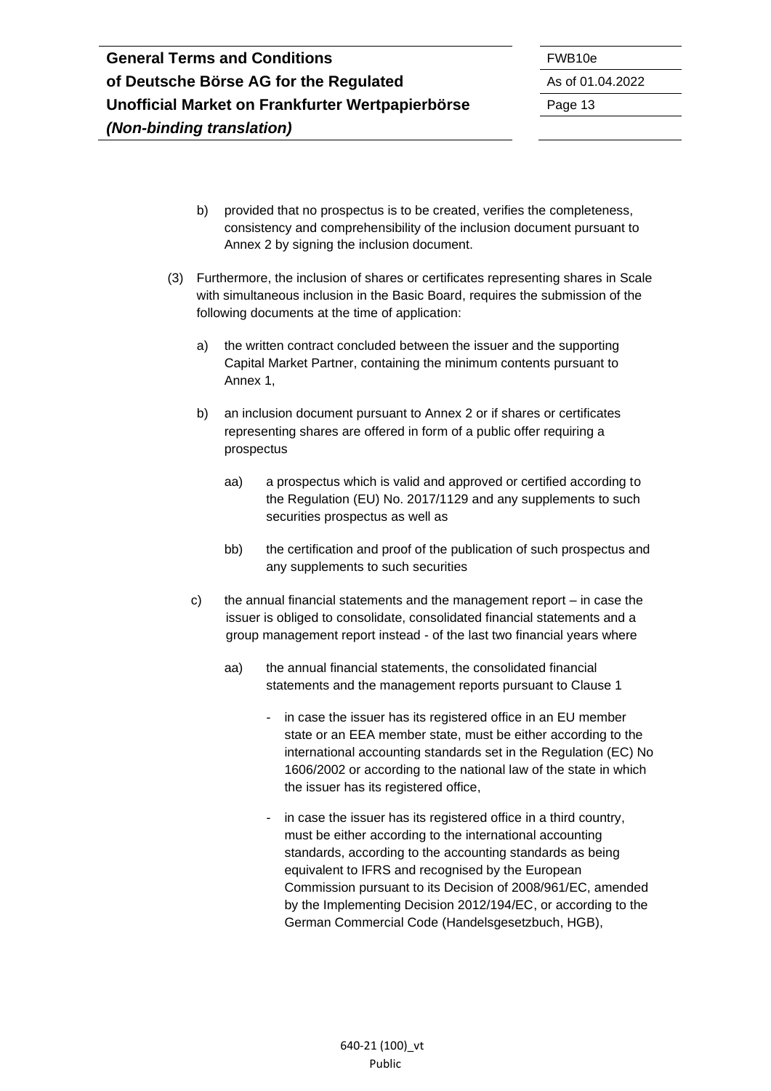- b) provided that no prospectus is to be created, verifies the completeness, consistency and comprehensibility of the inclusion document pursuant to Annex 2 by signing the inclusion document.
- (3) Furthermore, the inclusion of shares or certificates representing shares in Scale with simultaneous inclusion in the Basic Board, requires the submission of the following documents at the time of application:
	- a) the written contract concluded between the issuer and the supporting Capital Market Partner, containing the minimum contents pursuant to Annex 1,
	- b) an inclusion document pursuant to Annex 2 or if shares or certificates representing shares are offered in form of a public offer requiring a prospectus
		- aa) a prospectus which is valid and approved or certified according to the Regulation (EU) No. 2017/1129 and any supplements to such securities prospectus as well as
		- bb) the certification and proof of the publication of such prospectus and any supplements to such securities
	- c) the annual financial statements and the management report in case the issuer is obliged to consolidate, consolidated financial statements and a group management report instead - of the last two financial years where
		- aa) the annual financial statements, the consolidated financial statements and the management reports pursuant to Clause 1
			- in case the issuer has its registered office in an EU member state or an EEA member state, must be either according to the international accounting standards set in the Regulation (EC) No 1606/2002 or according to the national law of the state in which the issuer has its registered office,
			- in case the issuer has its registered office in a third country, must be either according to the international accounting standards, according to the accounting standards as being equivalent to IFRS and recognised by the European Commission pursuant to its Decision of 2008/961/EC, amended by the Implementing Decision 2012/194/EC, or according to the German Commercial Code (Handelsgesetzbuch, HGB),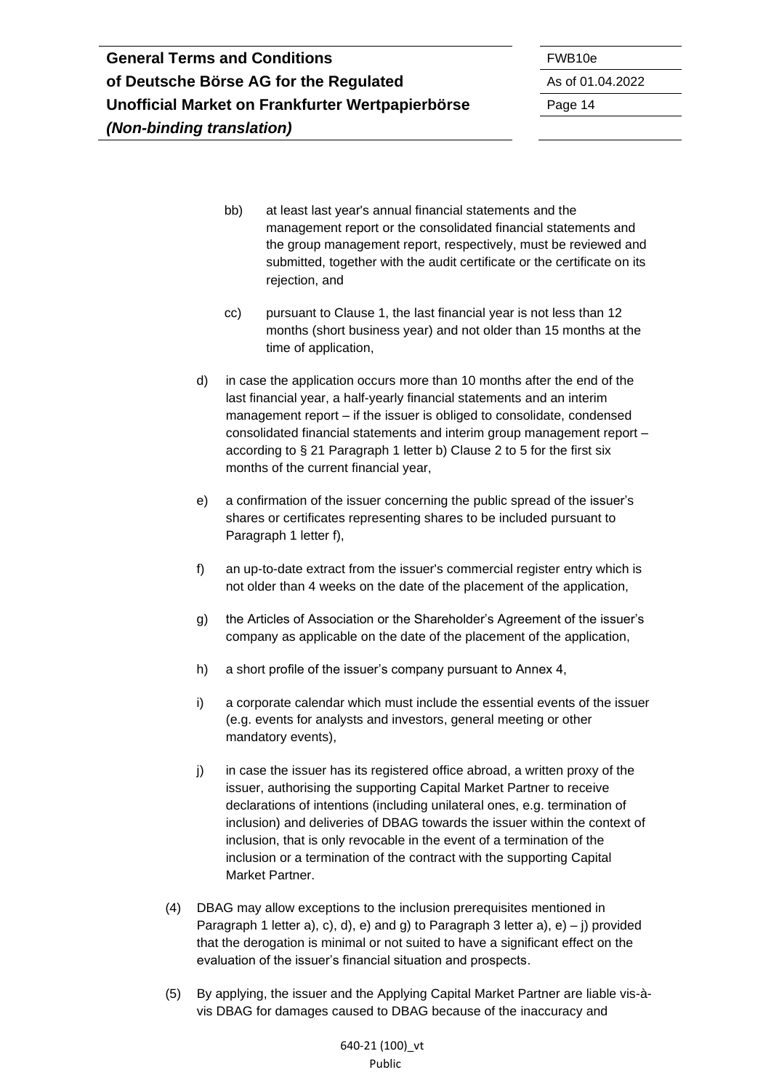bb) at least last year's annual financial statements and the management report or the consolidated financial statements and the group management report, respectively, must be reviewed and submitted, together with the audit certificate or the certificate on its rejection, and

- cc) pursuant to Clause 1, the last financial year is not less than 12 months (short business year) and not older than 15 months at the time of application,
- d) in case the application occurs more than 10 months after the end of the last financial year, a half-yearly financial statements and an interim management report – if the issuer is obliged to consolidate, condensed consolidated financial statements and interim group management report – according to § 21 Paragraph 1 letter b) Clause 2 to 5 for the first six months of the current financial year,
- e) a confirmation of the issuer concerning the public spread of the issuer's shares or certificates representing shares to be included pursuant to Paragraph 1 letter f),
- f) an up-to-date extract from the issuer's commercial register entry which is not older than 4 weeks on the date of the placement of the application,
- g) the Articles of Association or the Shareholder's Agreement of the issuer's company as applicable on the date of the placement of the application,
- h) a short profile of the issuer's company pursuant to Annex 4,
- i) a corporate calendar which must include the essential events of the issuer (e.g. events for analysts and investors, general meeting or other mandatory events),
- j) in case the issuer has its registered office abroad, a written proxy of the issuer, authorising the supporting Capital Market Partner to receive declarations of intentions (including unilateral ones, e.g. termination of inclusion) and deliveries of DBAG towards the issuer within the context of inclusion, that is only revocable in the event of a termination of the inclusion or a termination of the contract with the supporting Capital Market Partner.
- (4) DBAG may allow exceptions to the inclusion prerequisites mentioned in Paragraph 1 letter a), c), d), e) and g) to Paragraph 3 letter a),  $e$ ) – i) provided that the derogation is minimal or not suited to have a significant effect on the evaluation of the issuer's financial situation and prospects.
- (5) By applying, the issuer and the Applying Capital Market Partner are liable vis-àvis DBAG for damages caused to DBAG because of the inaccuracy and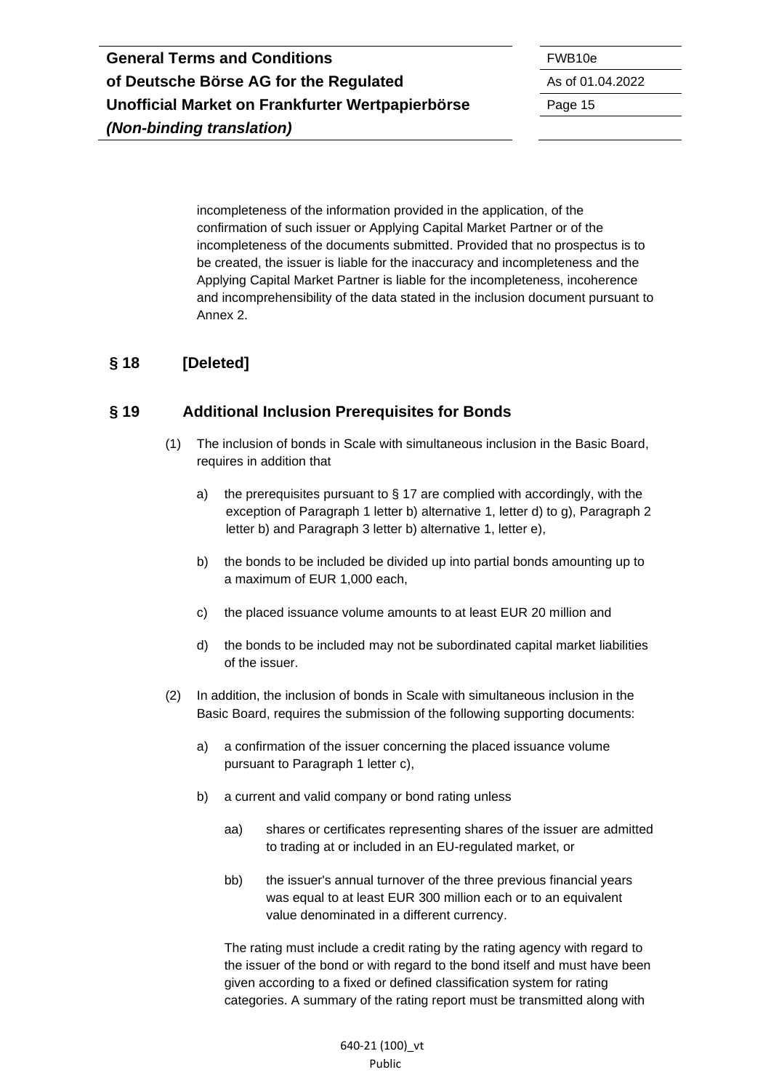incompleteness of the information provided in the application, of the confirmation of such issuer or Applying Capital Market Partner or of the incompleteness of the documents submitted. Provided that no prospectus is to be created, the issuer is liable for the inaccuracy and incompleteness and the Applying Capital Market Partner is liable for the incompleteness, incoherence and incomprehensibility of the data stated in the inclusion document pursuant to Annex 2.

## <span id="page-14-0"></span>**§ 18 [Deleted]**

#### <span id="page-14-1"></span>**§ 19 Additional Inclusion Prerequisites for Bonds**

- (1) The inclusion of bonds in Scale with simultaneous inclusion in the Basic Board, requires in addition that
	- a) the prerequisites pursuant to  $\S$  17 are complied with accordingly, with the exception of Paragraph 1 letter b) alternative 1, letter d) to g), Paragraph 2 letter b) and Paragraph 3 letter b) alternative 1, letter e),
	- b) the bonds to be included be divided up into partial bonds amounting up to a maximum of EUR 1,000 each,
	- c) the placed issuance volume amounts to at least EUR 20 million and
	- d) the bonds to be included may not be subordinated capital market liabilities of the issuer.
- (2) In addition, the inclusion of bonds in Scale with simultaneous inclusion in the Basic Board, requires the submission of the following supporting documents:
	- a) a confirmation of the issuer concerning the placed issuance volume pursuant to Paragraph 1 letter c),
	- b) a current and valid company or bond rating unless
		- aa) shares or certificates representing shares of the issuer are admitted to trading at or included in an EU-regulated market, or
		- bb) the issuer's annual turnover of the three previous financial years was equal to at least EUR 300 million each or to an equivalent value denominated in a different currency.

The rating must include a credit rating by the rating agency with regard to the issuer of the bond or with regard to the bond itself and must have been given according to a fixed or defined classification system for rating categories. A summary of the rating report must be transmitted along with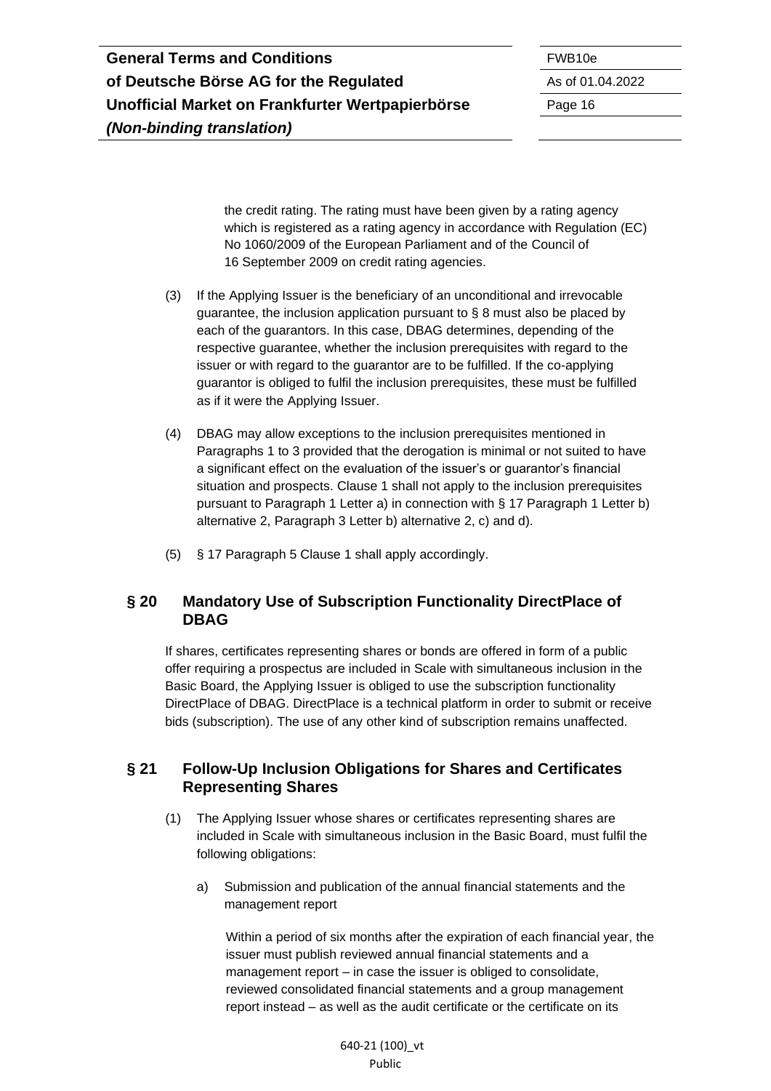the credit rating. The rating must have been given by a rating agency which is registered as a rating agency in accordance with Regulation (EC) No 1060/2009 of the European Parliament and of the Council of 16 September 2009 on credit rating agencies.

- (3) If the Applying Issuer is the beneficiary of an unconditional and irrevocable guarantee, the inclusion application pursuant to § 8 must also be placed by each of the guarantors. In this case, DBAG determines, depending of the respective guarantee, whether the inclusion prerequisites with regard to the issuer or with regard to the guarantor are to be fulfilled. If the co-applying guarantor is obliged to fulfil the inclusion prerequisites, these must be fulfilled as if it were the Applying Issuer.
- (4) DBAG may allow exceptions to the inclusion prerequisites mentioned in Paragraphs 1 to 3 provided that the derogation is minimal or not suited to have a significant effect on the evaluation of the issuer's or guarantor's financial situation and prospects. Clause 1 shall not apply to the inclusion prerequisites pursuant to Paragraph 1 Letter a) in connection with § 17 Paragraph 1 Letter b) alternative 2, Paragraph 3 Letter b) alternative 2, c) and d).
- (5) § 17 Paragraph 5 Clause 1 shall apply accordingly.

#### <span id="page-15-0"></span>**§ 20 Mandatory Use of Subscription Functionality DirectPlace of DBAG**

If shares, certificates representing shares or bonds are offered in form of a public offer requiring a prospectus are included in Scale with simultaneous inclusion in the Basic Board, the Applying Issuer is obliged to use the subscription functionality DirectPlace of DBAG. DirectPlace is a technical platform in order to submit or receive bids (subscription). The use of any other kind of subscription remains unaffected.

#### <span id="page-15-1"></span>**§ 21 Follow-Up Inclusion Obligations for Shares and Certificates Representing Shares**

- (1) The Applying Issuer whose shares or certificates representing shares are included in Scale with simultaneous inclusion in the Basic Board, must fulfil the following obligations:
	- a) Submission and publication of the annual financial statements and the management report

Within a period of six months after the expiration of each financial year, the issuer must publish reviewed annual financial statements and a management report – in case the issuer is obliged to consolidate, reviewed consolidated financial statements and a group management report instead – as well as the audit certificate or the certificate on its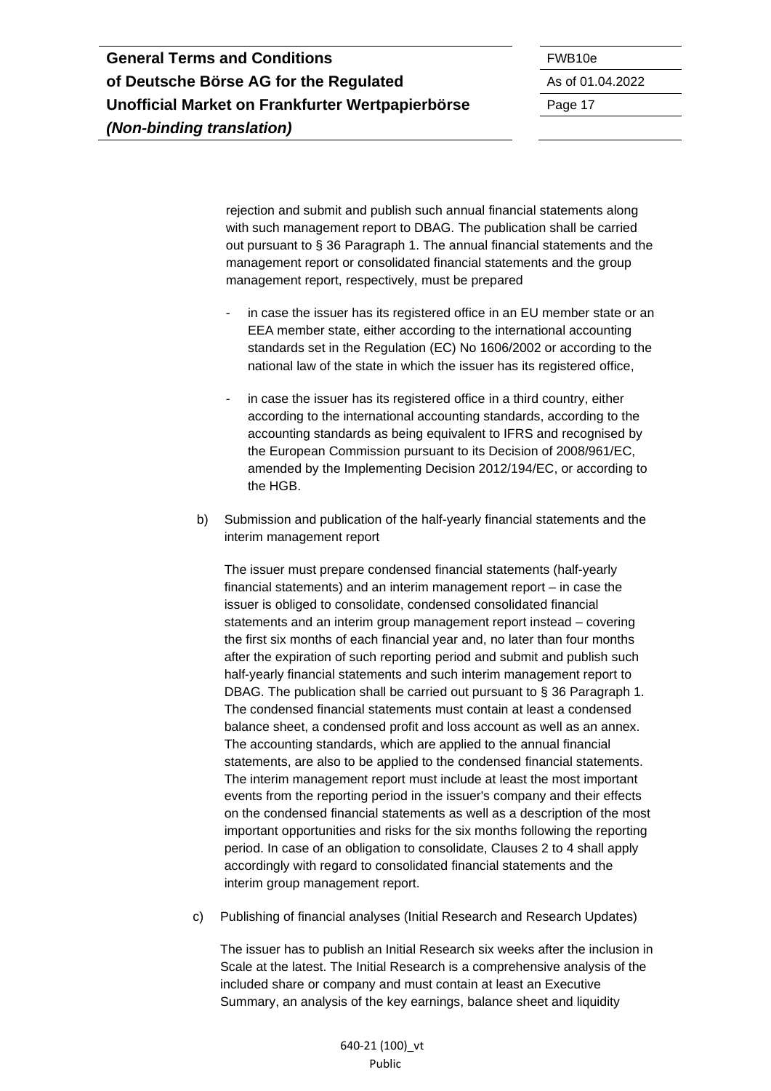| <b>General Terms and Conditions</b>              | FWB <sub>10e</sub> |
|--------------------------------------------------|--------------------|
| of Deutsche Börse AG for the Regulated           | As of 01.          |
| Unofficial Market on Frankfurter Wertpapierbörse | Page 17            |
| (Non-binding translation)                        |                    |

**of Deutsche Börse AG for the Regulated** As of 01.04.2022

rejection and submit and publish such annual financial statements along with such management report to DBAG. The publication shall be carried out pursuant to § 36 Paragraph 1. The annual financial statements and the management report or consolidated financial statements and the group management report, respectively, must be prepared

- in case the issuer has its registered office in an EU member state or an EEA member state, either according to the international accounting standards set in the Regulation (EC) No 1606/2002 or according to the national law of the state in which the issuer has its registered office,
- in case the issuer has its registered office in a third country, either according to the international accounting standards, according to the accounting standards as being equivalent to IFRS and recognised by the European Commission pursuant to its Decision of 2008/961/EC, amended by the Implementing Decision 2012/194/EC, or according to the HGB.
- b) Submission and publication of the half-yearly financial statements and the interim management report

The issuer must prepare condensed financial statements (half-yearly financial statements) and an interim management report – in case the issuer is obliged to consolidate, condensed consolidated financial statements and an interim group management report instead – covering the first six months of each financial year and, no later than four months after the expiration of such reporting period and submit and publish such half-yearly financial statements and such interim management report to DBAG. The publication shall be carried out pursuant to § 36 Paragraph 1. The condensed financial statements must contain at least a condensed balance sheet, a condensed profit and loss account as well as an annex. The accounting standards, which are applied to the annual financial statements, are also to be applied to the condensed financial statements. The interim management report must include at least the most important events from the reporting period in the issuer's company and their effects on the condensed financial statements as well as a description of the most important opportunities and risks for the six months following the reporting period. In case of an obligation to consolidate, Clauses 2 to 4 shall apply accordingly with regard to consolidated financial statements and the interim group management report.

c) Publishing of financial analyses (Initial Research and Research Updates)

The issuer has to publish an Initial Research six weeks after the inclusion in Scale at the latest. The Initial Research is a comprehensive analysis of the included share or company and must contain at least an Executive Summary, an analysis of the key earnings, balance sheet and liquidity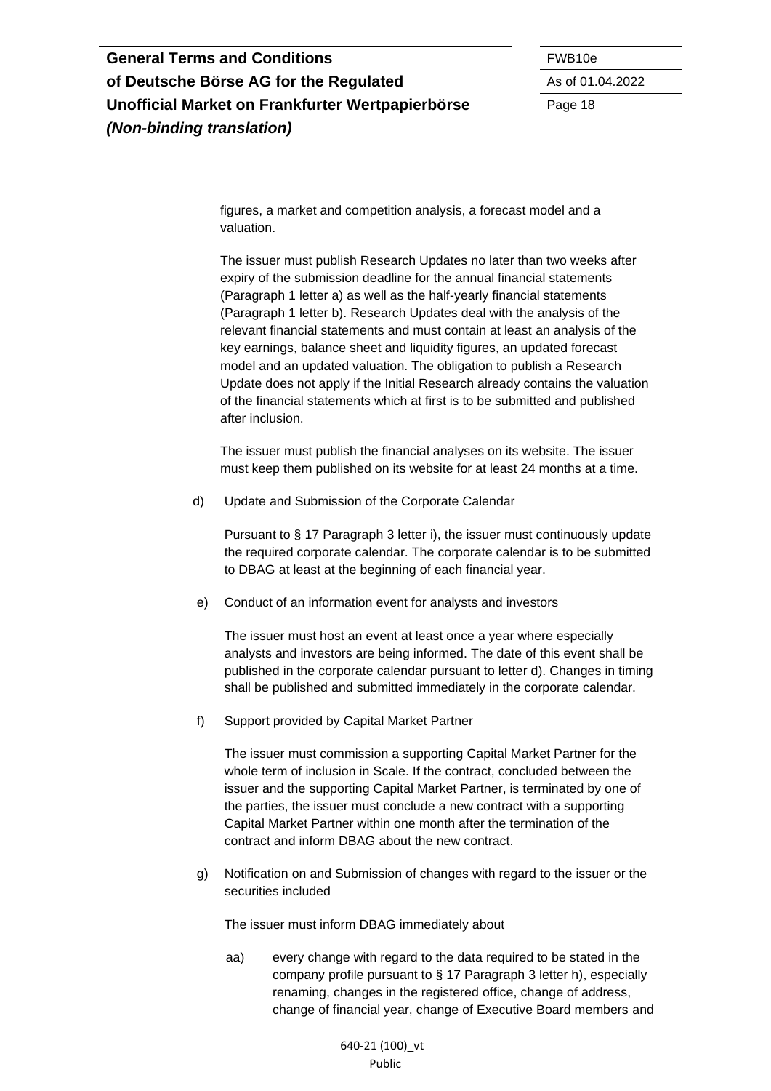figures, a market and competition analysis, a forecast model and a valuation.

The issuer must publish Research Updates no later than two weeks after expiry of the submission deadline for the annual financial statements (Paragraph 1 letter a) as well as the half-yearly financial statements (Paragraph 1 letter b). Research Updates deal with the analysis of the relevant financial statements and must contain at least an analysis of the key earnings, balance sheet and liquidity figures, an updated forecast model and an updated valuation. The obligation to publish a Research Update does not apply if the Initial Research already contains the valuation of the financial statements which at first is to be submitted and published after inclusion.

The issuer must publish the financial analyses on its website. The issuer must keep them published on its website for at least 24 months at a time.

d) Update and Submission of the Corporate Calendar

Pursuant to § 17 Paragraph 3 letter i), the issuer must continuously update the required corporate calendar. The corporate calendar is to be submitted to DBAG at least at the beginning of each financial year.

e) Conduct of an information event for analysts and investors

The issuer must host an event at least once a year where especially analysts and investors are being informed. The date of this event shall be published in the corporate calendar pursuant to letter d). Changes in timing shall be published and submitted immediately in the corporate calendar.

f) Support provided by Capital Market Partner

The issuer must commission a supporting Capital Market Partner for the whole term of inclusion in Scale. If the contract, concluded between the issuer and the supporting Capital Market Partner, is terminated by one of the parties, the issuer must conclude a new contract with a supporting Capital Market Partner within one month after the termination of the contract and inform DBAG about the new contract.

g) Notification on and Submission of changes with regard to the issuer or the securities included

The issuer must inform DBAG immediately about

aa) every change with regard to the data required to be stated in the company profile pursuant to § 17 Paragraph 3 letter h), especially renaming, changes in the registered office, change of address, change of financial year, change of Executive Board members and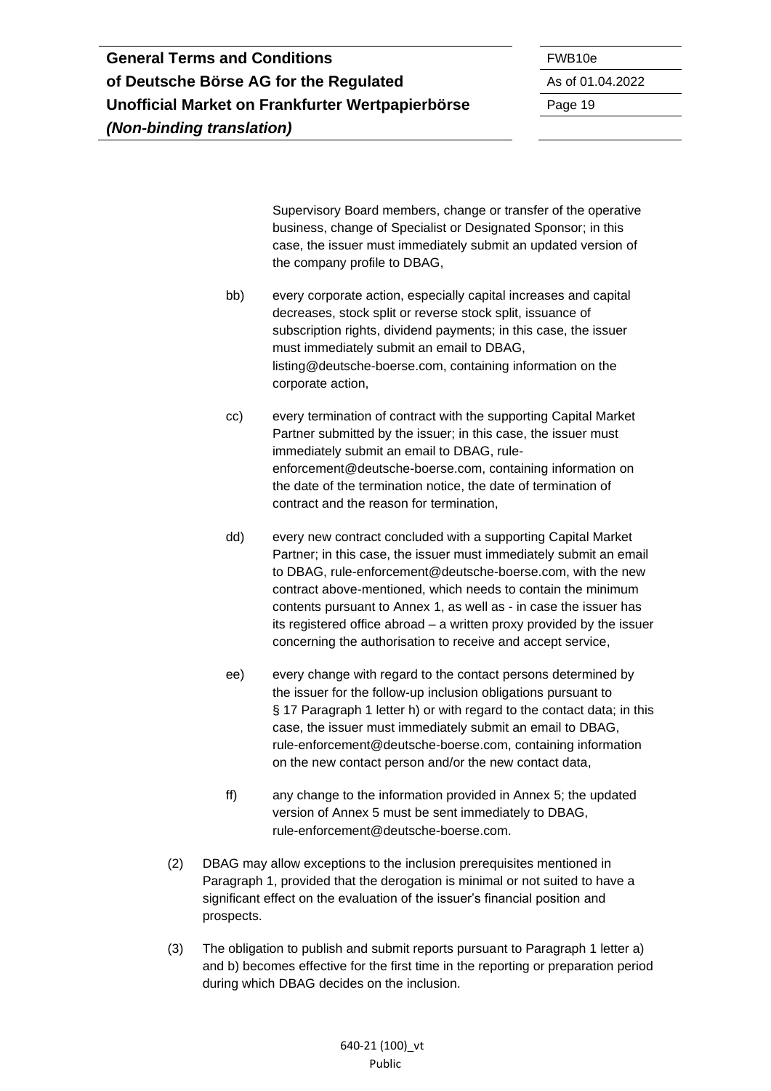Supervisory Board members, change or transfer of the operative business, change of Specialist or Designated Sponsor; in this case, the issuer must immediately submit an updated version of the company profile to DBAG,

- bb) every corporate action, especially capital increases and capital decreases, stock split or reverse stock split, issuance of subscription rights, dividend payments; in this case, the issuer must immediately submit an email to DBAG, listing@deutsche-boerse.com, containing information on the corporate action,
- cc) every termination of contract with the supporting Capital Market Partner submitted by the issuer; in this case, the issuer must immediately submit an email to DBAG, ruleenforcement@deutsche-boerse.com, containing information on the date of the termination notice, the date of termination of contract and the reason for termination,
- dd) every new contract concluded with a supporting Capital Market Partner; in this case, the issuer must immediately submit an email to DBAG, [rule-enforcement@deutsche-boerse.com,](mailto:rule-enforcement@deutsche-boerse.com) with the new contract above-mentioned, which needs to contain the minimum contents pursuant to Annex 1, as well as - in case the issuer has its registered office abroad – a written proxy provided by the issuer concerning the authorisation to receive and accept service,
- ee) every change with regard to the contact persons determined by the issuer for the follow-up inclusion obligations pursuant to § 17 Paragraph 1 letter h) or with regard to the contact data; in this case, the issuer must immediately submit an email to DBAG, rule-enforcement@deutsche-boerse.com, containing information on the new contact person and/or the new contact data,
- ff) any change to the information provided in Annex 5; the updated version of Annex 5 must be sent immediately to DBAG, rule-enforcement@deutsche-boerse.com.
- (2) DBAG may allow exceptions to the inclusion prerequisites mentioned in Paragraph 1, provided that the derogation is minimal or not suited to have a significant effect on the evaluation of the issuer's financial position and prospects.
- (3) The obligation to publish and submit reports pursuant to Paragraph 1 letter a) and b) becomes effective for the first time in the reporting or preparation period during which DBAG decides on the inclusion.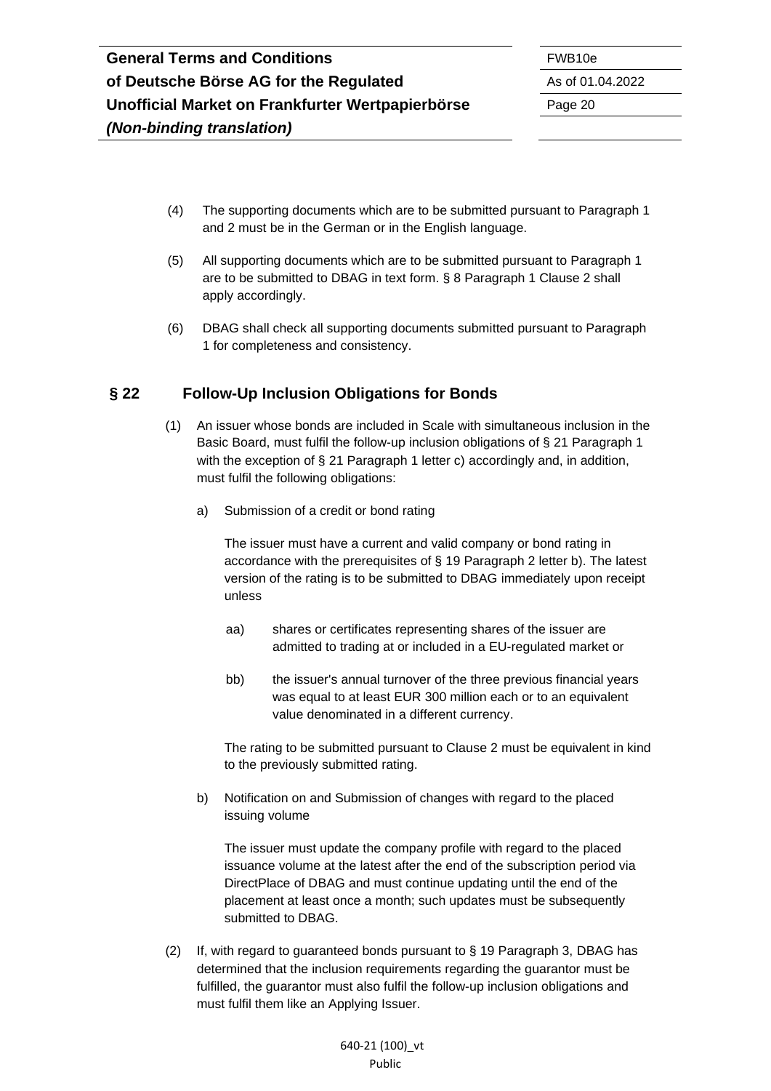- (4) The supporting documents which are to be submitted pursuant to Paragraph 1 and 2 must be in the German or in the English language.
- (5) All supporting documents which are to be submitted pursuant to Paragraph 1 are to be submitted to DBAG in text form. § 8 Paragraph 1 Clause 2 shall apply accordingly.
- (6) DBAG shall check all supporting documents submitted pursuant to Paragraph 1 for completeness and consistency.

### <span id="page-19-0"></span>**§ 22 Follow-Up Inclusion Obligations for Bonds**

- (1) An issuer whose bonds are included in Scale with simultaneous inclusion in the Basic Board, must fulfil the follow-up inclusion obligations of § 21 Paragraph 1 with the exception of § 21 Paragraph 1 letter c) accordingly and, in addition, must fulfil the following obligations:
	- a) Submission of a credit or bond rating

The issuer must have a current and valid company or bond rating in accordance with the prerequisites of § 19 Paragraph 2 letter b). The latest version of the rating is to be submitted to DBAG immediately upon receipt unless

- aa) shares or certificates representing shares of the issuer are admitted to trading at or included in a EU-regulated market or
- bb) the issuer's annual turnover of the three previous financial years was equal to at least EUR 300 million each or to an equivalent value denominated in a different currency.

The rating to be submitted pursuant to Clause 2 must be equivalent in kind to the previously submitted rating.

b) Notification on and Submission of changes with regard to the placed issuing volume

The issuer must update the company profile with regard to the placed issuance volume at the latest after the end of the subscription period via DirectPlace of DBAG and must continue updating until the end of the placement at least once a month; such updates must be subsequently submitted to DBAG.

(2) If, with regard to guaranteed bonds pursuant to § 19 Paragraph 3, DBAG has determined that the inclusion requirements regarding the guarantor must be fulfilled, the guarantor must also fulfil the follow-up inclusion obligations and must fulfil them like an Applying Issuer.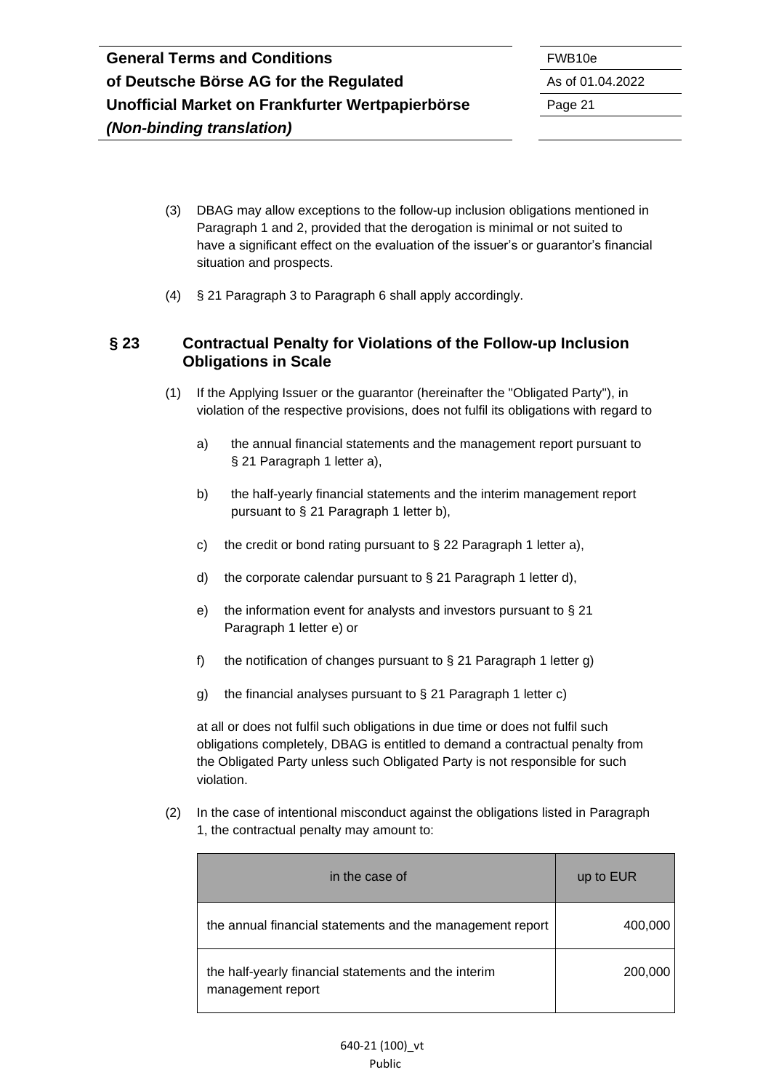- (3) DBAG may allow exceptions to the follow-up inclusion obligations mentioned in Paragraph 1 and 2, provided that the derogation is minimal or not suited to have a significant effect on the evaluation of the issuer's or guarantor's financial situation and prospects.
- (4) § 21 Paragraph 3 to Paragraph 6 shall apply accordingly.

### <span id="page-20-0"></span>**§ 23 Contractual Penalty for Violations of the Follow-up Inclusion Obligations in Scale**

- (1) If the Applying Issuer or the guarantor (hereinafter the "Obligated Party"), in violation of the respective provisions, does not fulfil its obligations with regard to
	- a) the annual financial statements and the management report pursuant to § 21 Paragraph 1 letter a),
	- b) the half-yearly financial statements and the interim management report pursuant to § 21 Paragraph 1 letter b),
	- c) the credit or bond rating pursuant to  $\S$  22 Paragraph 1 letter a),
	- d) the corporate calendar pursuant to § 21 Paragraph 1 letter d),
	- e) the information event for analysts and investors pursuant to § 21 Paragraph 1 letter e) or
	- f) the notification of changes pursuant to  $\S$  21 Paragraph 1 letter g)
	- g) the financial analyses pursuant to § 21 Paragraph 1 letter c)

at all or does not fulfil such obligations in due time or does not fulfil such obligations completely, DBAG is entitled to demand a contractual penalty from the Obligated Party unless such Obligated Party is not responsible for such violation.

(2) In the case of intentional misconduct against the obligations listed in Paragraph 1, the contractual penalty may amount to:

| in the case of                                                            | up to EUR |
|---------------------------------------------------------------------------|-----------|
| the annual financial statements and the management report                 | 400,000   |
| the half-yearly financial statements and the interim<br>management report | 200,000   |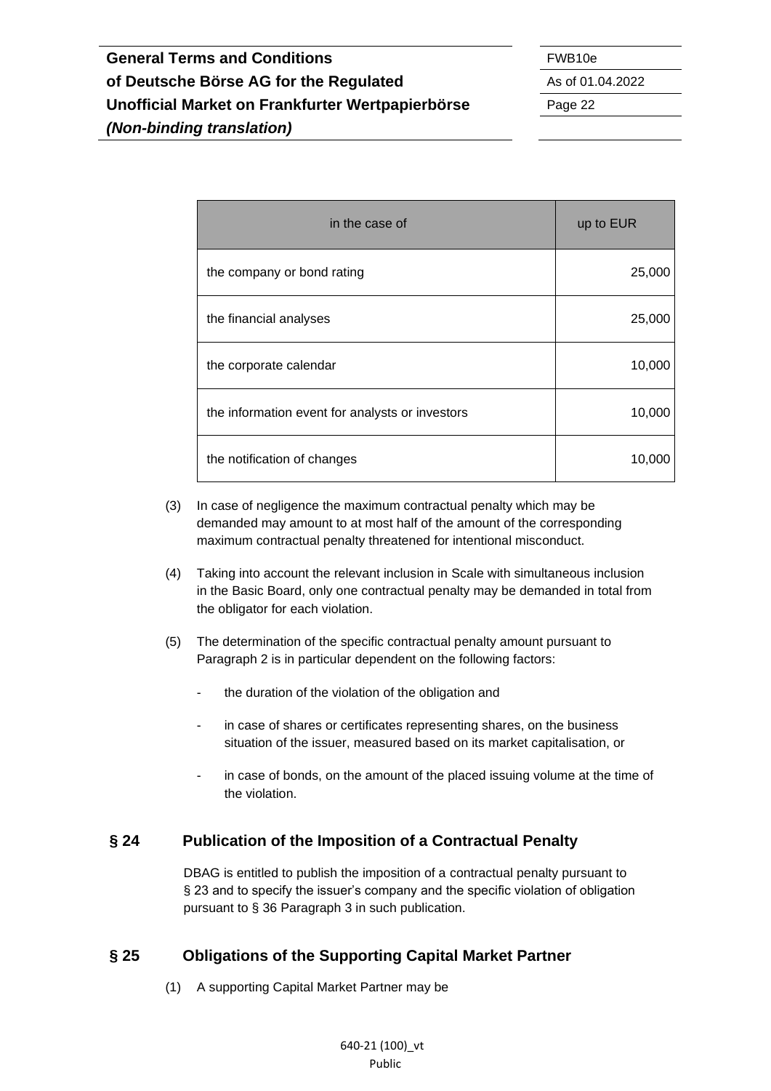| in the case of                                  | up to EUR |
|-------------------------------------------------|-----------|
| the company or bond rating                      | 25,000    |
| the financial analyses                          | 25,000    |
| the corporate calendar                          | 10,000    |
| the information event for analysts or investors | 10,000    |
| the notification of changes                     | 10,000    |

- (3) In case of negligence the maximum contractual penalty which may be demanded may amount to at most half of the amount of the corresponding maximum contractual penalty threatened for intentional misconduct.
- (4) Taking into account the relevant inclusion in Scale with simultaneous inclusion in the Basic Board, only one contractual penalty may be demanded in total from the obligator for each violation.
- (5) The determination of the specific contractual penalty amount pursuant to Paragraph 2 is in particular dependent on the following factors:
	- the duration of the violation of the obligation and
	- in case of shares or certificates representing shares, on the business situation of the issuer, measured based on its market capitalisation, or
	- in case of bonds, on the amount of the placed issuing volume at the time of the violation.

### <span id="page-21-0"></span>**§ 24 Publication of the Imposition of a Contractual Penalty**

DBAG is entitled to publish the imposition of a contractual penalty pursuant to § 23 and to specify the issuer's company and the specific violation of obligation pursuant to § 36 Paragraph 3 in such publication.

### <span id="page-21-1"></span>**§ 25 Obligations of the Supporting Capital Market Partner**

(1) A supporting Capital Market Partner may be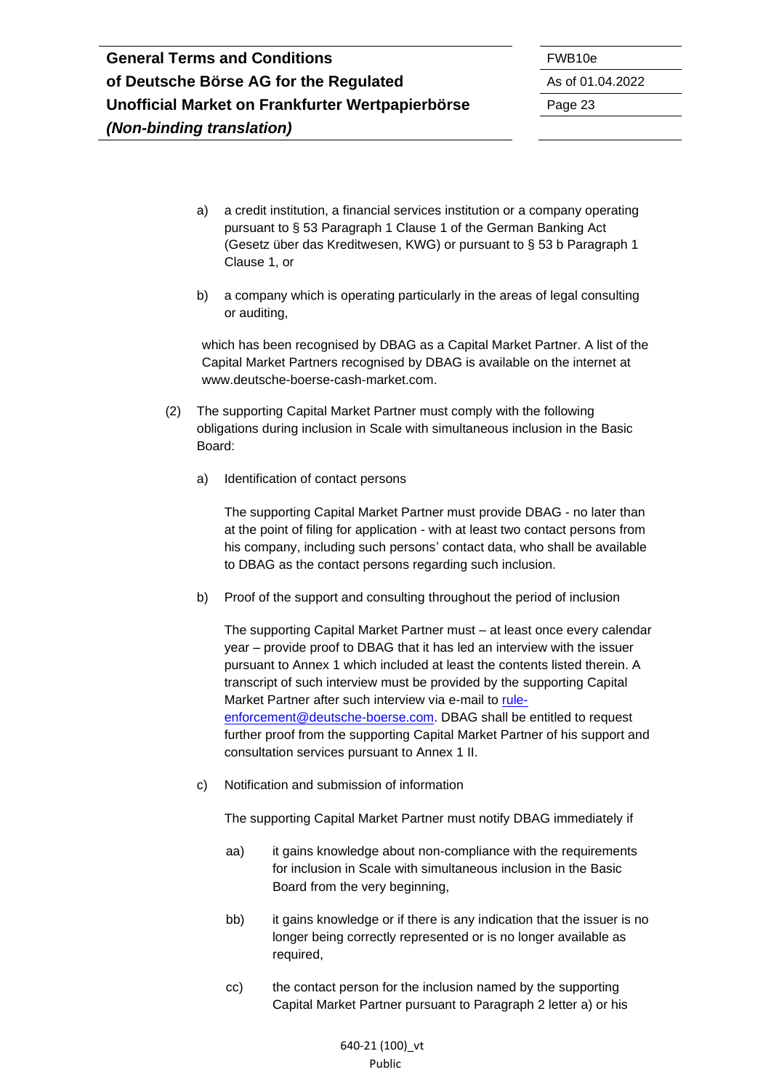- a) a credit institution, a financial services institution or a company operating pursuant to § 53 Paragraph 1 Clause 1 of the German Banking Act (Gesetz über das Kreditwesen, KWG) or pursuant to § 53 b Paragraph 1 Clause 1, or
- b) a company which is operating particularly in the areas of legal consulting or auditing,

which has been recognised by DBAG as a Capital Market Partner. A list of the Capital Market Partners recognised by DBAG is available on the internet at www.deutsche-boerse-cash-market.com.

- (2) The supporting Capital Market Partner must comply with the following obligations during inclusion in Scale with simultaneous inclusion in the Basic Board:
	- a) Identification of contact persons

The supporting Capital Market Partner must provide DBAG - no later than at the point of filing for application - with at least two contact persons from his company, including such persons' contact data, who shall be available to DBAG as the contact persons regarding such inclusion.

b) Proof of the support and consulting throughout the period of inclusion

The supporting Capital Market Partner must – at least once every calendar year – provide proof to DBAG that it has led an interview with the issuer pursuant to Annex 1 which included at least the contents listed therein. A transcript of such interview must be provided by the supporting Capital Market Partner after such interview via e-mail to [rule](mailto:rule-enforcement@deutsche-boerse.com)[enforcement@deutsche-boerse.com.](mailto:rule-enforcement@deutsche-boerse.com) DBAG shall be entitled to request further proof from the supporting Capital Market Partner of his support and consultation services pursuant to Annex 1 II.

c) Notification and submission of information

The supporting Capital Market Partner must notify DBAG immediately if

- aa) it gains knowledge about non-compliance with the requirements for inclusion in Scale with simultaneous inclusion in the Basic Board from the very beginning,
- bb) it gains knowledge or if there is any indication that the issuer is no longer being correctly represented or is no longer available as required,
- cc) the contact person for the inclusion named by the supporting Capital Market Partner pursuant to Paragraph 2 letter a) or his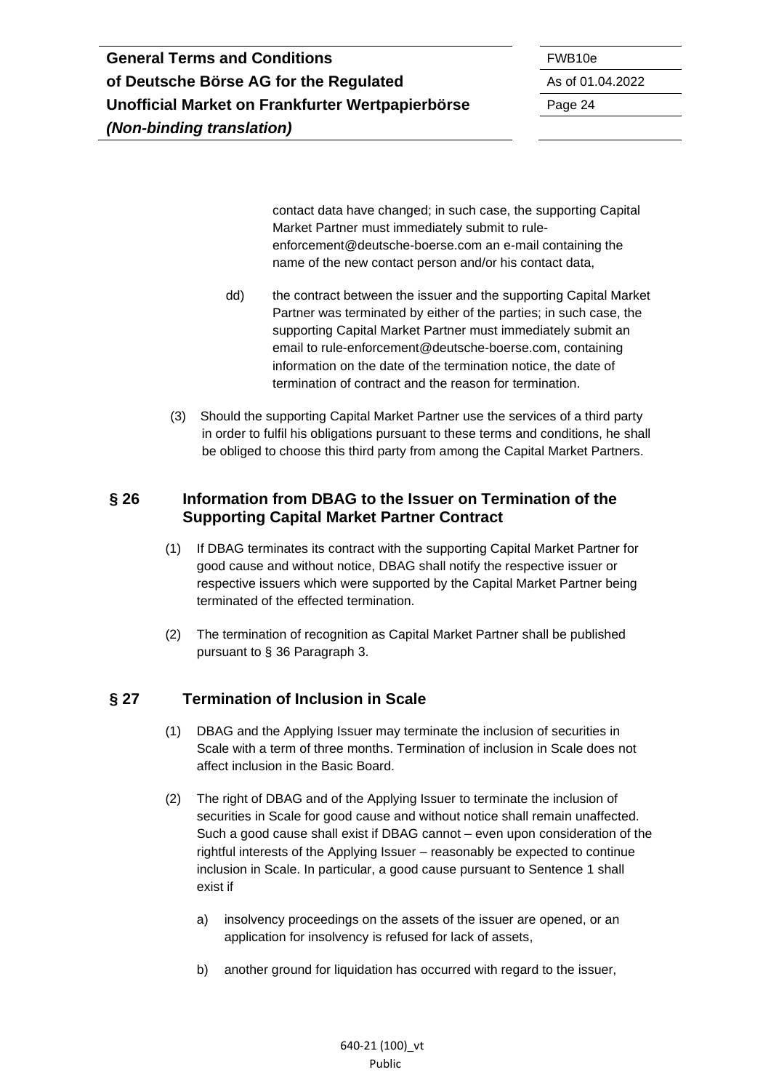contact data have changed; in such case, the supporting Capital Market Partner must immediately submit to ruleenforcement@deutsche-boerse.com an e-mail containing the name of the new contact person and/or his contact data,

- dd) the contract between the issuer and the supporting Capital Market Partner was terminated by either of the parties; in such case, the supporting Capital Market Partner must immediately submit an email to rule-enforcement@deutsche-boerse.com, containing information on the date of the termination notice, the date of termination of contract and the reason for termination.
- (3) Should the supporting Capital Market Partner use the services of a third party in order to fulfil his obligations pursuant to these terms and conditions, he shall be obliged to choose this third party from among the Capital Market Partners.

#### <span id="page-23-0"></span>**§ 26 Information from DBAG to the Issuer on Termination of the Supporting Capital Market Partner Contract**

- (1) If DBAG terminates its contract with the supporting Capital Market Partner for good cause and without notice, DBAG shall notify the respective issuer or respective issuers which were supported by the Capital Market Partner being terminated of the effected termination.
- (2) The termination of recognition as Capital Market Partner shall be published pursuant to § 36 Paragraph 3.

# <span id="page-23-1"></span>**§ 27 Termination of Inclusion in Scale**

- (1) DBAG and the Applying Issuer may terminate the inclusion of securities in Scale with a term of three months. Termination of inclusion in Scale does not affect inclusion in the Basic Board.
- (2) The right of DBAG and of the Applying Issuer to terminate the inclusion of securities in Scale for good cause and without notice shall remain unaffected. Such a good cause shall exist if DBAG cannot – even upon consideration of the rightful interests of the Applying Issuer – reasonably be expected to continue inclusion in Scale. In particular, a good cause pursuant to Sentence 1 shall exist if
	- a) insolvency proceedings on the assets of the issuer are opened, or an application for insolvency is refused for lack of assets,
	- b) another ground for liquidation has occurred with regard to the issuer,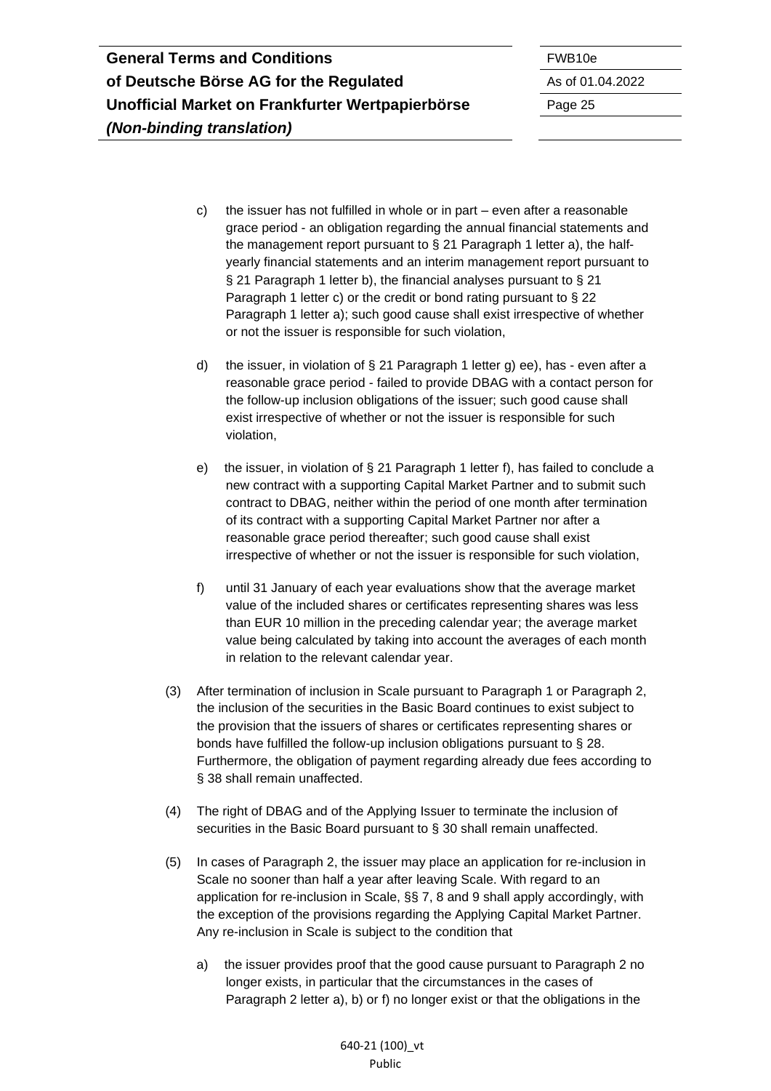c) the issuer has not fulfilled in whole or in part – even after a reasonable grace period - an obligation regarding the annual financial statements and the management report pursuant to § 21 Paragraph 1 letter a), the halfyearly financial statements and an interim management report pursuant to § 21 Paragraph 1 letter b), the financial analyses pursuant to § 21 Paragraph 1 letter c) or the credit or bond rating pursuant to § 22 Paragraph 1 letter a); such good cause shall exist irrespective of whether or not the issuer is responsible for such violation,

d) the issuer, in violation of § 21 Paragraph 1 letter g) ee), has - even after a reasonable grace period - failed to provide DBAG with a contact person for the follow-up inclusion obligations of the issuer; such good cause shall exist irrespective of whether or not the issuer is responsible for such violation,

e) the issuer, in violation of § 21 Paragraph 1 letter f), has failed to conclude a new contract with a supporting Capital Market Partner and to submit such contract to DBAG, neither within the period of one month after termination of its contract with a supporting Capital Market Partner nor after a reasonable grace period thereafter; such good cause shall exist irrespective of whether or not the issuer is responsible for such violation,

- f) until 31 January of each year evaluations show that the average market value of the included shares or certificates representing shares was less than EUR 10 million in the preceding calendar year; the average market value being calculated by taking into account the averages of each month in relation to the relevant calendar year.
- (3) After termination of inclusion in Scale pursuant to Paragraph 1 or Paragraph 2, the inclusion of the securities in the Basic Board continues to exist subject to the provision that the issuers of shares or certificates representing shares or bonds have fulfilled the follow-up inclusion obligations pursuant to § 28. Furthermore, the obligation of payment regarding already due fees according to § 38 shall remain unaffected.
- (4) The right of DBAG and of the Applying Issuer to terminate the inclusion of securities in the Basic Board pursuant to § 30 shall remain unaffected.
- (5) In cases of Paragraph 2, the issuer may place an application for re-inclusion in Scale no sooner than half a year after leaving Scale. With regard to an application for re-inclusion in Scale, §§ 7, 8 and 9 shall apply accordingly, with the exception of the provisions regarding the Applying Capital Market Partner. Any re-inclusion in Scale is subject to the condition that
	- a) the issuer provides proof that the good cause pursuant to Paragraph 2 no longer exists, in particular that the circumstances in the cases of Paragraph 2 letter a), b) or f) no longer exist or that the obligations in the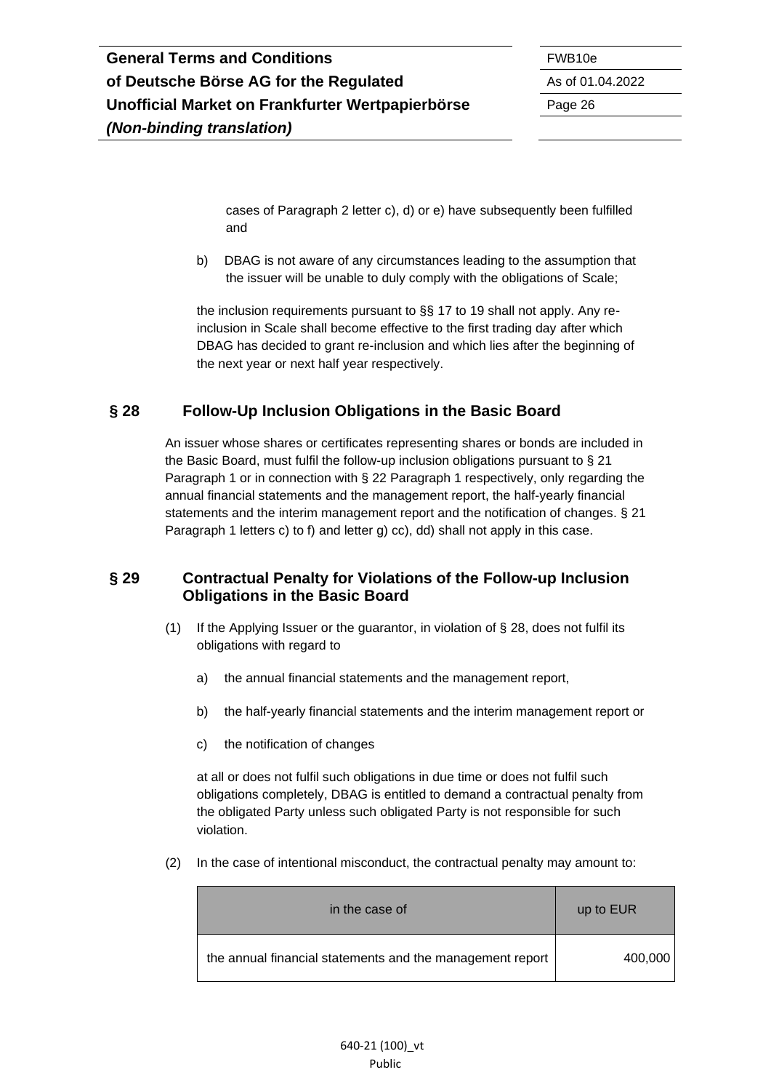cases of Paragraph 2 letter c), d) or e) have subsequently been fulfilled and

b) DBAG is not aware of any circumstances leading to the assumption that the issuer will be unable to duly comply with the obligations of Scale;

the inclusion requirements pursuant to §§ 17 to 19 shall not apply. Any reinclusion in Scale shall become effective to the first trading day after which DBAG has decided to grant re-inclusion and which lies after the beginning of the next year or next half year respectively.

### <span id="page-25-0"></span>**§ 28 Follow-Up Inclusion Obligations in the Basic Board**

An issuer whose shares or certificates representing shares or bonds are included in the Basic Board, must fulfil the follow-up inclusion obligations pursuant to § 21 Paragraph 1 or in connection with § 22 Paragraph 1 respectively, only regarding the annual financial statements and the management report, the half-yearly financial statements and the interim management report and the notification of changes. § 21 Paragraph 1 letters c) to f) and letter g) cc), dd) shall not apply in this case.

#### <span id="page-25-1"></span>**§ 29 Contractual Penalty for Violations of the Follow-up Inclusion Obligations in the Basic Board**

- (1) If the Applying Issuer or the guarantor, in violation of § 28, does not fulfil its obligations with regard to
	- a) the annual financial statements and the management report,
	- b) the half-yearly financial statements and the interim management report or
	- c) the notification of changes

at all or does not fulfil such obligations in due time or does not fulfil such obligations completely, DBAG is entitled to demand a contractual penalty from the obligated Party unless such obligated Party is not responsible for such violation.

(2) In the case of intentional misconduct, the contractual penalty may amount to:

| in the case of                                            | up to EUR |
|-----------------------------------------------------------|-----------|
| the annual financial statements and the management report | 400,000   |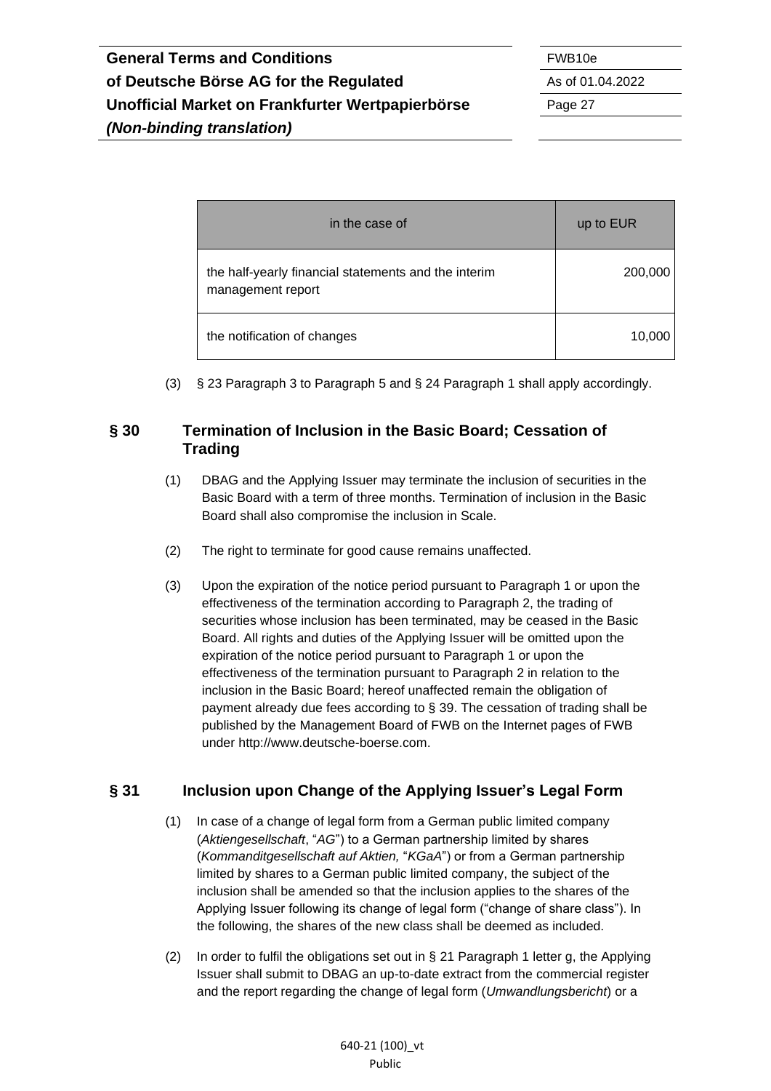in the case of up to EUR the half-yearly financial statements and the interim management report 200,000 the notification of changes 10,000 and 10,000 and 10,000 and 10,000 and 10,000 and 10,000 and 10,000 and 10,000 and 10,000 and 10,000 and 10,000 and 10,000 and 10,000 and 10,000 and 10,000 and 10,000 and 10,000 and 10,000

(3) § 23 Paragraph 3 to Paragraph 5 and § 24 Paragraph 1 shall apply accordingly.

### <span id="page-26-0"></span>**§ 30 Termination of Inclusion in the Basic Board; Cessation of Trading**

- (1) DBAG and the Applying Issuer may terminate the inclusion of securities in the Basic Board with a term of three months. Termination of inclusion in the Basic Board shall also compromise the inclusion in Scale.
- (2) The right to terminate for good cause remains unaffected.
- (3) Upon the expiration of the notice period pursuant to Paragraph 1 or upon the effectiveness of the termination according to Paragraph 2, the trading of securities whose inclusion has been terminated, may be ceased in the Basic Board. All rights and duties of the Applying Issuer will be omitted upon the expiration of the notice period pursuant to Paragraph 1 or upon the effectiveness of the termination pursuant to Paragraph 2 in relation to the inclusion in the Basic Board; hereof unaffected remain the obligation of payment already due fees according to § 39. The cessation of trading shall be published by the Management Board of FWB on the Internet pages of FWB under http://www.deutsche-boerse.com.

# <span id="page-26-1"></span>**§ 31 Inclusion upon Change of the Applying Issuer's Legal Form**

- (1) In case of a change of legal form from a German public limited company (*Aktiengesellschaft*, "*AG*") to a German partnership limited by shares (*Kommanditgesellschaft auf Aktien,* "*KGaA*") or from a German partnership limited by shares to a German public limited company, the subject of the inclusion shall be amended so that the inclusion applies to the shares of the Applying Issuer following its change of legal form ("change of share class"). In the following, the shares of the new class shall be deemed as included.
- (2) In order to fulfil the obligations set out in  $\S$  21 Paragraph 1 letter g, the Applying Issuer shall submit to DBAG an up-to-date extract from the commercial register and the report regarding the change of legal form (*Umwandlungsbericht*) or a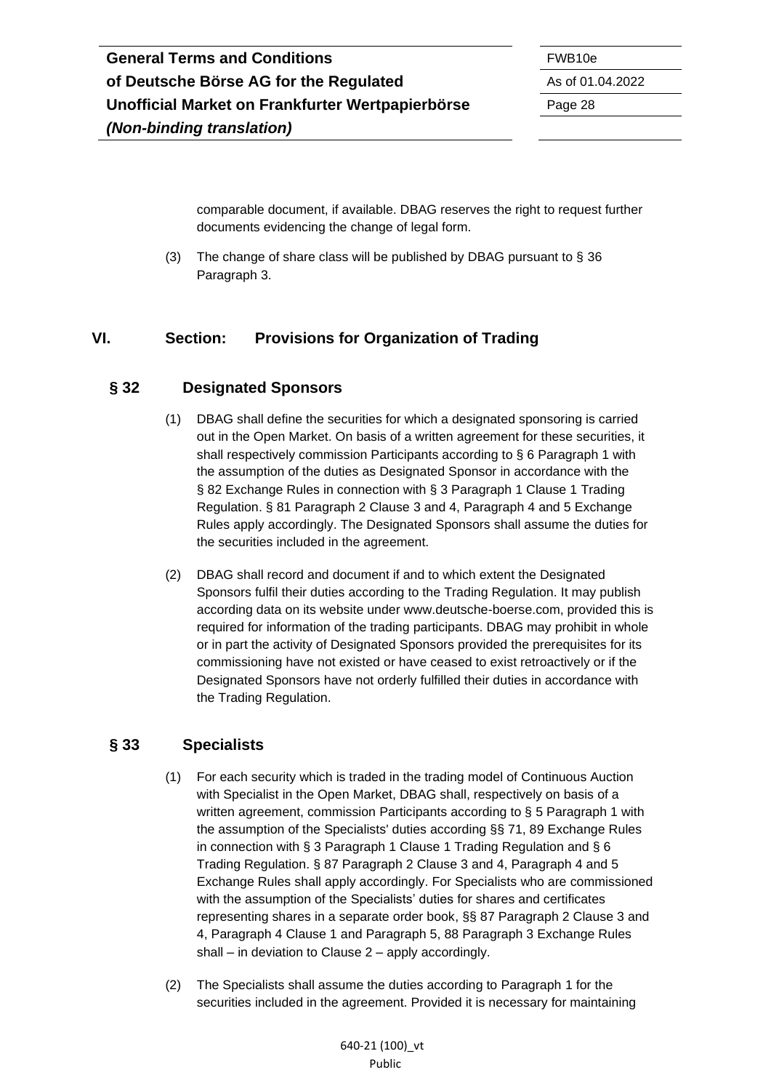comparable document, if available. DBAG reserves the right to request further documents evidencing the change of legal form.

(3) The change of share class will be published by DBAG pursuant to § 36 Paragraph 3.

## <span id="page-27-0"></span>**VI. Section: Provisions for Organization of Trading**

#### <span id="page-27-1"></span>**§ 32 Designated Sponsors**

- (1) DBAG shall define the securities for which a designated sponsoring is carried out in the Open Market. On basis of a written agreement for these securities, it shall respectively commission Participants according to § 6 Paragraph 1 with the assumption of the duties as Designated Sponsor in accordance with the § 82 Exchange Rules in connection with § 3 Paragraph 1 Clause 1 Trading Regulation. § 81 Paragraph 2 Clause 3 and 4, Paragraph 4 and 5 Exchange Rules apply accordingly. The Designated Sponsors shall assume the duties for the securities included in the agreement.
- (2) DBAG shall record and document if and to which extent the Designated Sponsors fulfil their duties according to the Trading Regulation. It may publish according data on its website under www.deutsche-boerse.com, provided this is required for information of the trading participants. DBAG may prohibit in whole or in part the activity of Designated Sponsors provided the prerequisites for its commissioning have not existed or have ceased to exist retroactively or if the Designated Sponsors have not orderly fulfilled their duties in accordance with the Trading Regulation.

#### <span id="page-27-2"></span>**§ 33 Specialists**

- (1) For each security which is traded in the trading model of Continuous Auction with Specialist in the Open Market, DBAG shall, respectively on basis of a written agreement, commission Participants according to § 5 Paragraph 1 with the assumption of the Specialists' duties according §§ 71, 89 Exchange Rules in connection with § 3 Paragraph 1 Clause 1 Trading Regulation and § 6 Trading Regulation. § 87 Paragraph 2 Clause 3 and 4, Paragraph 4 and 5 Exchange Rules shall apply accordingly. For Specialists who are commissioned with the assumption of the Specialists' duties for shares and certificates representing shares in a separate order book, §§ 87 Paragraph 2 Clause 3 and 4, Paragraph 4 Clause 1 and Paragraph 5, 88 Paragraph 3 Exchange Rules shall – in deviation to Clause 2 – apply accordingly.
- (2) The Specialists shall assume the duties according to Paragraph 1 for the securities included in the agreement. Provided it is necessary for maintaining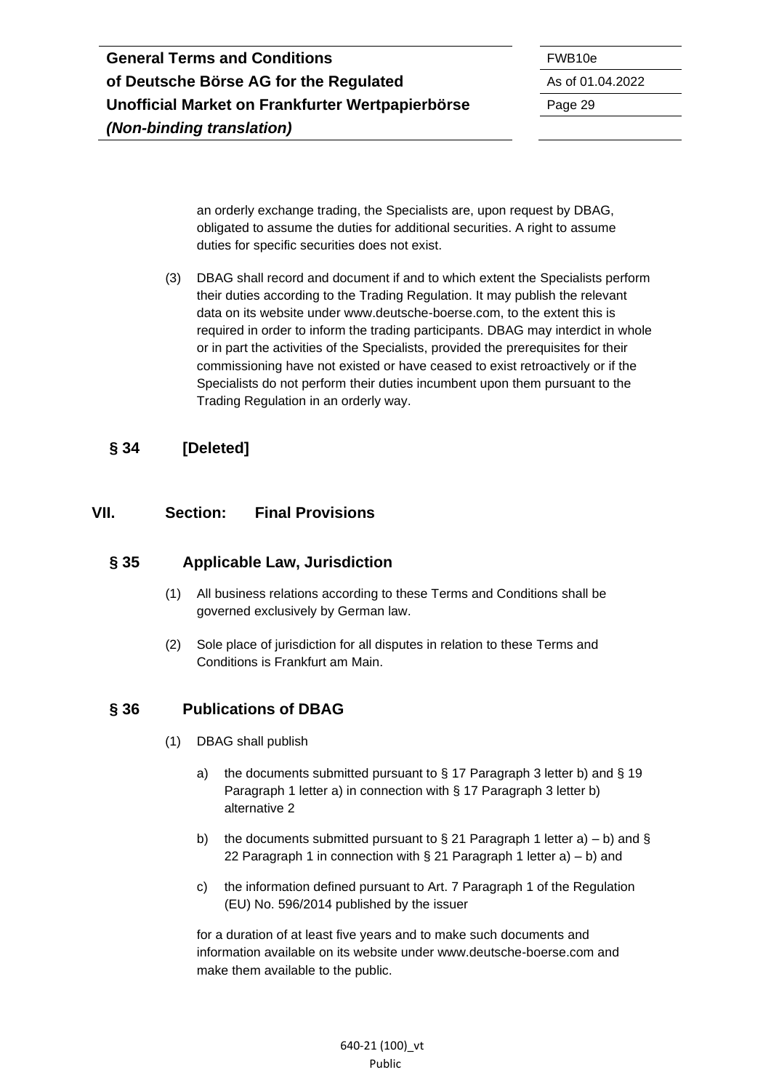an orderly exchange trading, the Specialists are, upon request by DBAG, obligated to assume the duties for additional securities. A right to assume duties for specific securities does not exist.

(3) DBAG shall record and document if and to which extent the Specialists perform their duties according to the Trading Regulation. It may publish the relevant data on its website under www.deutsche-boerse.com, to the extent this is required in order to inform the trading participants. DBAG may interdict in whole or in part the activities of the Specialists, provided the prerequisites for their commissioning have not existed or have ceased to exist retroactively or if the Specialists do not perform their duties incumbent upon them pursuant to the Trading Regulation in an orderly way.

## <span id="page-28-0"></span>**§ 34 [Deleted]**

#### <span id="page-28-1"></span>**VII. Section: Final Provisions**

#### <span id="page-28-2"></span>**§ 35 Applicable Law, Jurisdiction**

- (1) All business relations according to these Terms and Conditions shall be governed exclusively by German law.
- (2) Sole place of jurisdiction for all disputes in relation to these Terms and Conditions is Frankfurt am Main.

### <span id="page-28-3"></span>**§ 36 Publications of DBAG**

- (1) DBAG shall publish
	- a) the documents submitted pursuant to  $\S$  17 Paragraph 3 letter b) and  $\S$  19 Paragraph 1 letter a) in connection with § 17 Paragraph 3 letter b) alternative 2
	- b) the documents submitted pursuant to § 21 Paragraph 1 letter a) b) and § 22 Paragraph 1 in connection with § 21 Paragraph 1 letter a) – b) and
	- c) the information defined pursuant to Art. 7 Paragraph 1 of the Regulation (EU) No. 596/2014 published by the issuer

for a duration of at least five years and to make such documents and information available on its website under www.deutsche-boerse.com and make them available to the public.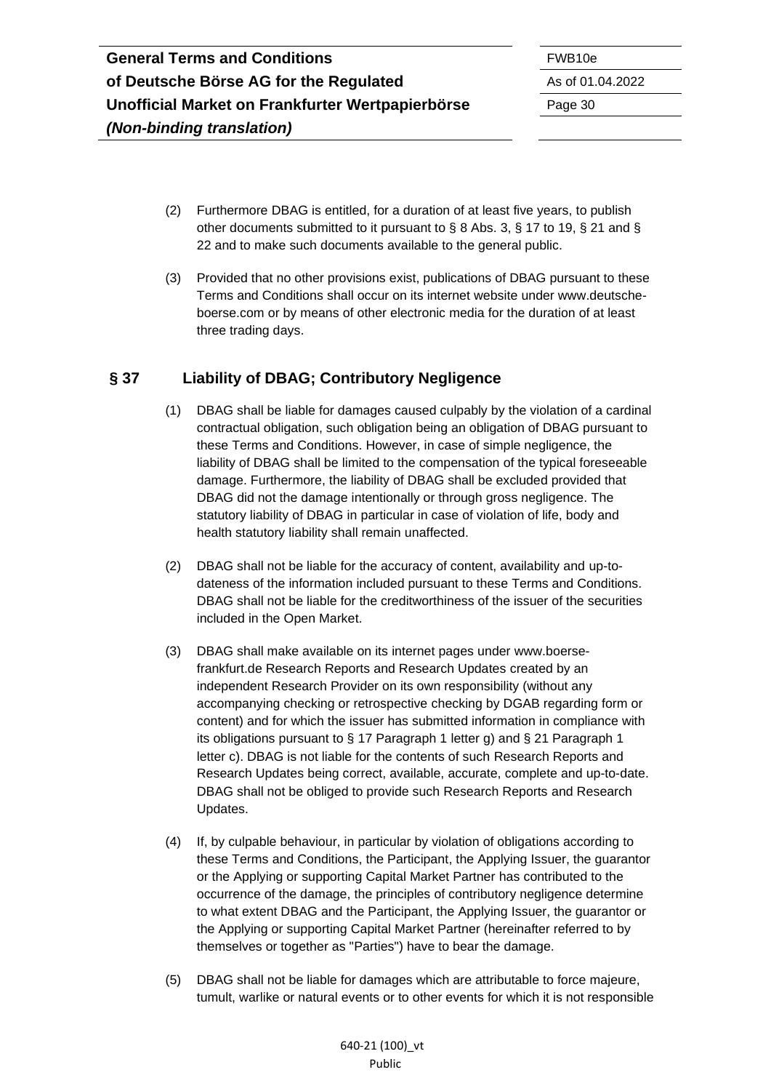- (2) Furthermore DBAG is entitled, for a duration of at least five years, to publish other documents submitted to it pursuant to § 8 Abs. 3, § 17 to 19, § 21 and § 22 and to make such documents available to the general public.
- (3) Provided that no other provisions exist, publications of DBAG pursuant to these Terms and Conditions shall occur on its internet website under www.deutscheboerse.com or by means of other electronic media for the duration of at least three trading days.

## <span id="page-29-0"></span>**§ 37 Liability of DBAG; Contributory Negligence**

- (1) DBAG shall be liable for damages caused culpably by the violation of a cardinal contractual obligation, such obligation being an obligation of DBAG pursuant to these Terms and Conditions. However, in case of simple negligence, the liability of DBAG shall be limited to the compensation of the typical foreseeable damage. Furthermore, the liability of DBAG shall be excluded provided that DBAG did not the damage intentionally or through gross negligence. The statutory liability of DBAG in particular in case of violation of life, body and health statutory liability shall remain unaffected.
- (2) DBAG shall not be liable for the accuracy of content, availability and up-todateness of the information included pursuant to these Terms and Conditions. DBAG shall not be liable for the creditworthiness of the issuer of the securities included in the Open Market.
- (3) DBAG shall make available on its internet pages under www.boersefrankfurt.de Research Reports and Research Updates created by an independent Research Provider on its own responsibility (without any accompanying checking or retrospective checking by DGAB regarding form or content) and for which the issuer has submitted information in compliance with its obligations pursuant to § 17 Paragraph 1 letter g) and § 21 Paragraph 1 letter c). DBAG is not liable for the contents of such Research Reports and Research Updates being correct, available, accurate, complete and up-to-date. DBAG shall not be obliged to provide such Research Reports and Research Updates.
- (4) If, by culpable behaviour, in particular by violation of obligations according to these Terms and Conditions, the Participant, the Applying Issuer, the guarantor or the Applying or supporting Capital Market Partner has contributed to the occurrence of the damage, the principles of contributory negligence determine to what extent DBAG and the Participant, the Applying Issuer, the guarantor or the Applying or supporting Capital Market Partner (hereinafter referred to by themselves or together as "Parties") have to bear the damage.
- (5) DBAG shall not be liable for damages which are attributable to force majeure, tumult, warlike or natural events or to other events for which it is not responsible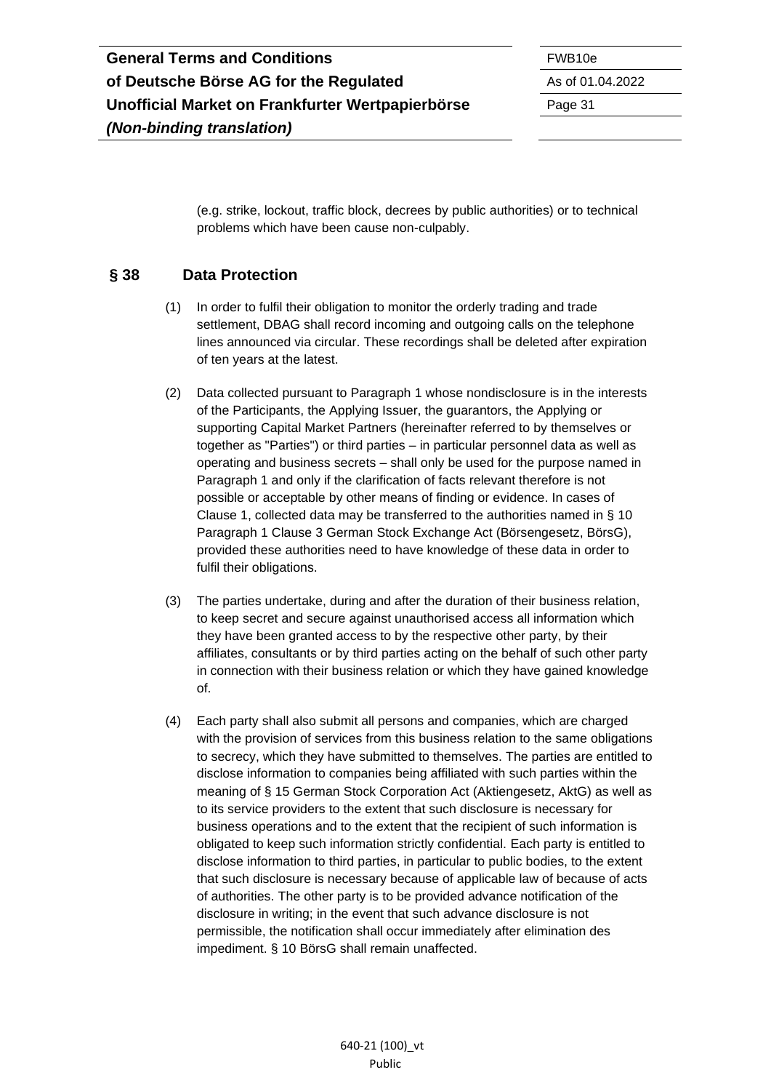(e.g. strike, lockout, traffic block, decrees by public authorities) or to technical problems which have been cause non-culpably.

## <span id="page-30-0"></span>**§ 38 Data Protection**

- (1) In order to fulfil their obligation to monitor the orderly trading and trade settlement, DBAG shall record incoming and outgoing calls on the telephone lines announced via circular. These recordings shall be deleted after expiration of ten years at the latest.
- (2) Data collected pursuant to Paragraph 1 whose nondisclosure is in the interests of the Participants, the Applying Issuer, the guarantors, the Applying or supporting Capital Market Partners (hereinafter referred to by themselves or together as "Parties") or third parties – in particular personnel data as well as operating and business secrets – shall only be used for the purpose named in Paragraph 1 and only if the clarification of facts relevant therefore is not possible or acceptable by other means of finding or evidence. In cases of Clause 1, collected data may be transferred to the authorities named in § 10 Paragraph 1 Clause 3 German Stock Exchange Act (Börsengesetz, BörsG), provided these authorities need to have knowledge of these data in order to fulfil their obligations.
- (3) The parties undertake, during and after the duration of their business relation, to keep secret and secure against unauthorised access all information which they have been granted access to by the respective other party, by their affiliates, consultants or by third parties acting on the behalf of such other party in connection with their business relation or which they have gained knowledge of.
- (4) Each party shall also submit all persons and companies, which are charged with the provision of services from this business relation to the same obligations to secrecy, which they have submitted to themselves. The parties are entitled to disclose information to companies being affiliated with such parties within the meaning of § 15 German Stock Corporation Act (Aktiengesetz, AktG) as well as to its service providers to the extent that such disclosure is necessary for business operations and to the extent that the recipient of such information is obligated to keep such information strictly confidential. Each party is entitled to disclose information to third parties, in particular to public bodies, to the extent that such disclosure is necessary because of applicable law of because of acts of authorities. The other party is to be provided advance notification of the disclosure in writing; in the event that such advance disclosure is not permissible, the notification shall occur immediately after elimination des impediment. § 10 BörsG shall remain unaffected.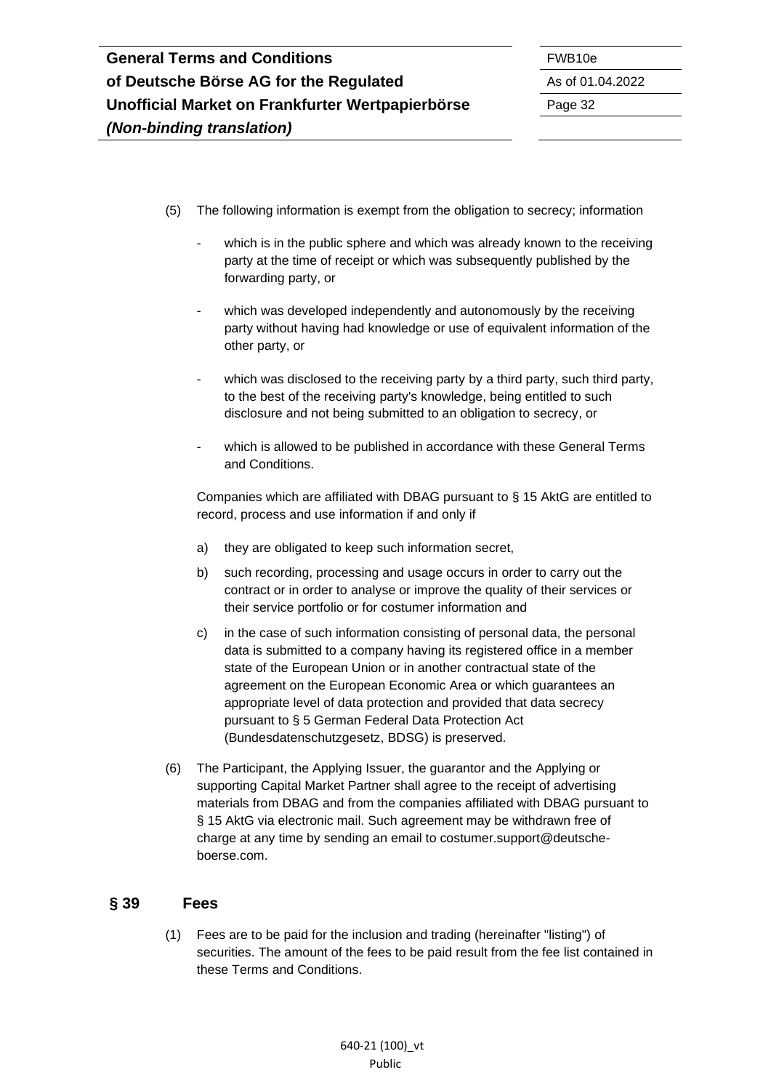- (5) The following information is exempt from the obligation to secrecy; information
	- which is in the public sphere and which was already known to the receiving party at the time of receipt or which was subsequently published by the forwarding party, or
	- which was developed independently and autonomously by the receiving party without having had knowledge or use of equivalent information of the other party, or
	- which was disclosed to the receiving party by a third party, such third party, to the best of the receiving party's knowledge, being entitled to such disclosure and not being submitted to an obligation to secrecy, or
	- which is allowed to be published in accordance with these General Terms and Conditions.

Companies which are affiliated with DBAG pursuant to § 15 AktG are entitled to record, process and use information if and only if

- a) they are obligated to keep such information secret,
- b) such recording, processing and usage occurs in order to carry out the contract or in order to analyse or improve the quality of their services or their service portfolio or for costumer information and
- c) in the case of such information consisting of personal data, the personal data is submitted to a company having its registered office in a member state of the European Union or in another contractual state of the agreement on the European Economic Area or which guarantees an appropriate level of data protection and provided that data secrecy pursuant to § 5 German Federal Data Protection Act (Bundesdatenschutzgesetz, BDSG) is preserved.
- (6) The Participant, the Applying Issuer, the guarantor and the Applying or supporting Capital Market Partner shall agree to the receipt of advertising materials from DBAG and from the companies affiliated with DBAG pursuant to § 15 AktG via electronic mail. Such agreement may be withdrawn free of charge at any time by sending an email to costumer.support@deutscheboerse.com.

#### <span id="page-31-0"></span>**§ 39 Fees**

(1) Fees are to be paid for the inclusion and trading (hereinafter "listing") of securities. The amount of the fees to be paid result from the fee list contained in these Terms and Conditions.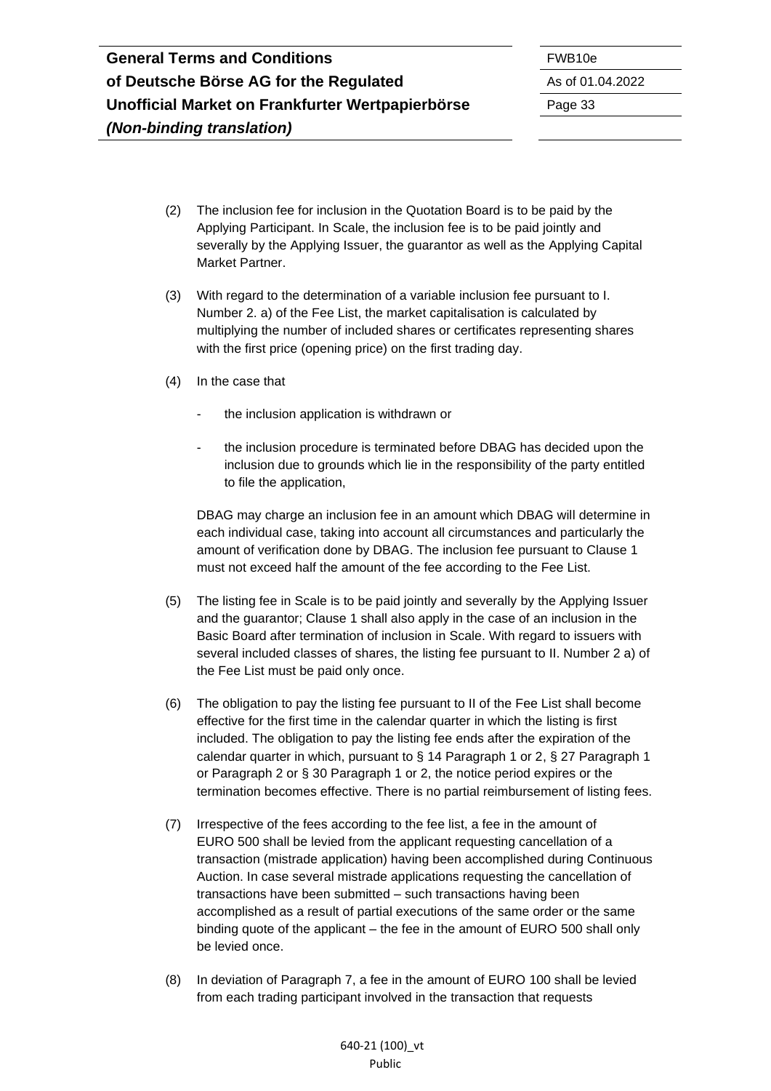- (2) The inclusion fee for inclusion in the Quotation Board is to be paid by the Applying Participant. In Scale, the inclusion fee is to be paid jointly and severally by the Applying Issuer, the guarantor as well as the Applying Capital Market Partner.
- (3) With regard to the determination of a variable inclusion fee pursuant to I. Number 2. a) of the Fee List, the market capitalisation is calculated by multiplying the number of included shares or certificates representing shares with the first price (opening price) on the first trading day.
- (4) In the case that
	- the inclusion application is withdrawn or
	- the inclusion procedure is terminated before DBAG has decided upon the inclusion due to grounds which lie in the responsibility of the party entitled to file the application,

DBAG may charge an inclusion fee in an amount which DBAG will determine in each individual case, taking into account all circumstances and particularly the amount of verification done by DBAG. The inclusion fee pursuant to Clause 1 must not exceed half the amount of the fee according to the Fee List.

- (5) The listing fee in Scale is to be paid jointly and severally by the Applying Issuer and the guarantor; Clause 1 shall also apply in the case of an inclusion in the Basic Board after termination of inclusion in Scale. With regard to issuers with several included classes of shares, the listing fee pursuant to II. Number 2 a) of the Fee List must be paid only once.
- (6) The obligation to pay the listing fee pursuant to II of the Fee List shall become effective for the first time in the calendar quarter in which the listing is first included. The obligation to pay the listing fee ends after the expiration of the calendar quarter in which, pursuant to § 14 Paragraph 1 or 2, § 27 Paragraph 1 or Paragraph 2 or § 30 Paragraph 1 or 2, the notice period expires or the termination becomes effective. There is no partial reimbursement of listing fees.
- (7) Irrespective of the fees according to the fee list, a fee in the amount of EURO 500 shall be levied from the applicant requesting cancellation of a transaction (mistrade application) having been accomplished during Continuous Auction. In case several mistrade applications requesting the cancellation of transactions have been submitted – such transactions having been accomplished as a result of partial executions of the same order or the same binding quote of the applicant – the fee in the amount of EURO 500 shall only be levied once.
- (8) In deviation of Paragraph 7, a fee in the amount of EURO 100 shall be levied from each trading participant involved in the transaction that requests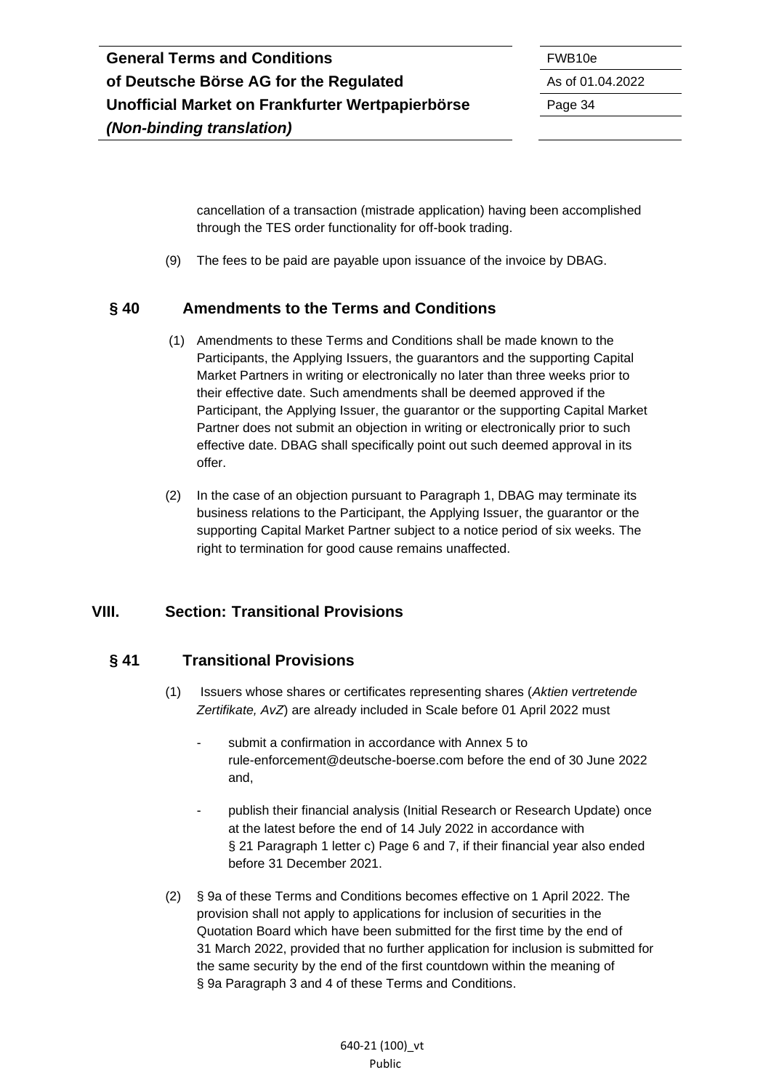cancellation of a transaction (mistrade application) having been accomplished through the TES order functionality for off-book trading.

(9) The fees to be paid are payable upon issuance of the invoice by DBAG.

#### <span id="page-33-0"></span>**§ 40 Amendments to the Terms and Conditions**

- (1) Amendments to these Terms and Conditions shall be made known to the Participants, the Applying Issuers, the guarantors and the supporting Capital Market Partners in writing or electronically no later than three weeks prior to their effective date. Such amendments shall be deemed approved if the Participant, the Applying Issuer, the guarantor or the supporting Capital Market Partner does not submit an objection in writing or electronically prior to such effective date. DBAG shall specifically point out such deemed approval in its offer.
- (2) In the case of an objection pursuant to Paragraph 1, DBAG may terminate its business relations to the Participant, the Applying Issuer, the guarantor or the supporting Capital Market Partner subject to a notice period of six weeks. The right to termination for good cause remains unaffected.

### <span id="page-33-1"></span>**VIII. Section: Transitional Provisions**

#### <span id="page-33-2"></span>**§ 41 Transitional Provisions**

- (1) Issuers whose shares or certificates representing shares (*Aktien vertretende Zertifikate, AvZ*) are already included in Scale before 01 April 2022 must
	- submit a confirmation in accordance with Annex 5 to rule-enforcement@deutsche-boerse.com before the end of 30 June 2022 and,
	- publish their financial analysis (Initial Research or Research Update) once at the latest before the end of 14 July 2022 in accordance with § 21 Paragraph 1 letter c) Page 6 and 7, if their financial year also ended before 31 December 2021.
- (2) § 9a of these Terms and Conditions becomes effective on 1 April 2022. The provision shall not apply to applications for inclusion of securities in the Quotation Board which have been submitted for the first time by the end of 31 March 2022, provided that no further application for inclusion is submitted for the same security by the end of the first countdown within the meaning of § 9a Paragraph 3 and 4 of these Terms and Conditions.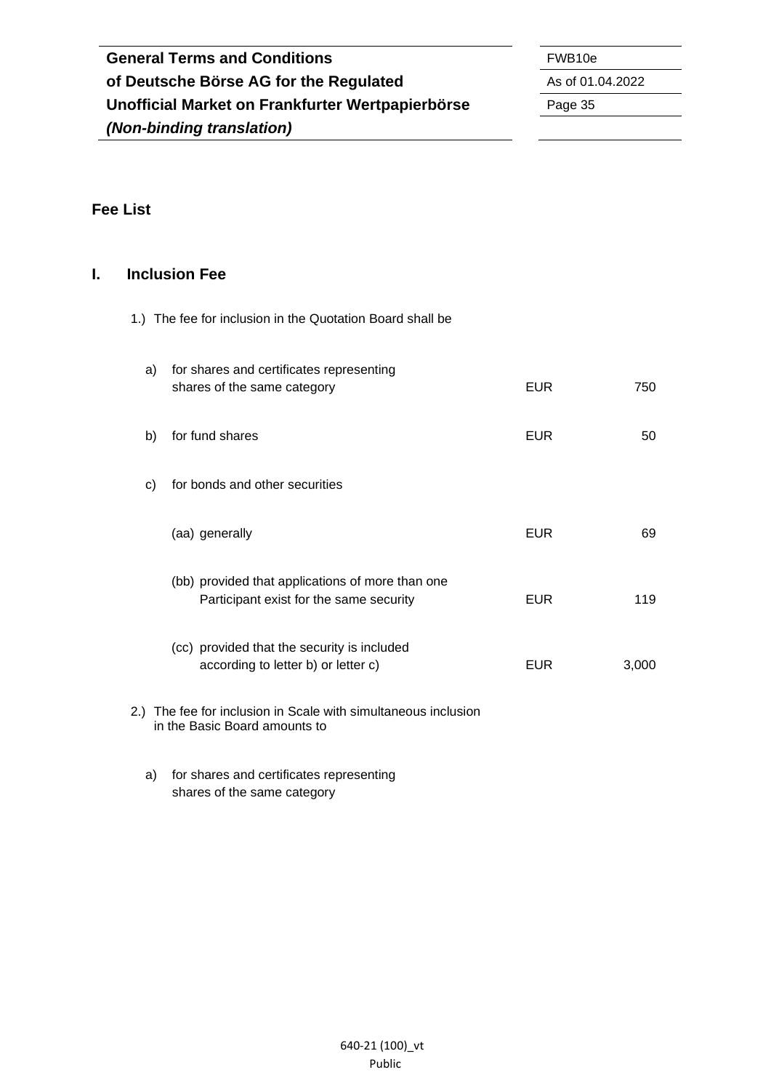| <b>General Terms and Conditions</b>              | FWB <sub>10e</sub> |
|--------------------------------------------------|--------------------|
| of Deutsche Börse AG for the Regulated           | As of 01.04.2022   |
| Unofficial Market on Frankfurter Wertpapierbörse | Page 35            |
| (Non-binding translation)                        |                    |

# <span id="page-34-0"></span>**Fee List**

## <span id="page-34-1"></span>**I. Inclusion Fee**

1.) The fee for inclusion in the Quotation Board shall be

| a)  | for shares and certificates representing<br>shares of the same category                     | EUR.       | 750   |
|-----|---------------------------------------------------------------------------------------------|------------|-------|
| b)  | for fund shares                                                                             | <b>EUR</b> | 50    |
| C)  | for bonds and other securities                                                              |            |       |
|     | (aa) generally                                                                              | <b>EUR</b> | 69    |
|     | (bb) provided that applications of more than one<br>Participant exist for the same security | <b>EUR</b> | 119   |
|     | (cc) provided that the security is included<br>according to letter b) or letter c)          | <b>EUR</b> | 3,000 |
| 2.) | The fee for inclusion in Scale with simultaneous inclusion<br>in the Basic Board amounts to |            |       |

a) for shares and certificates representing shares of the same category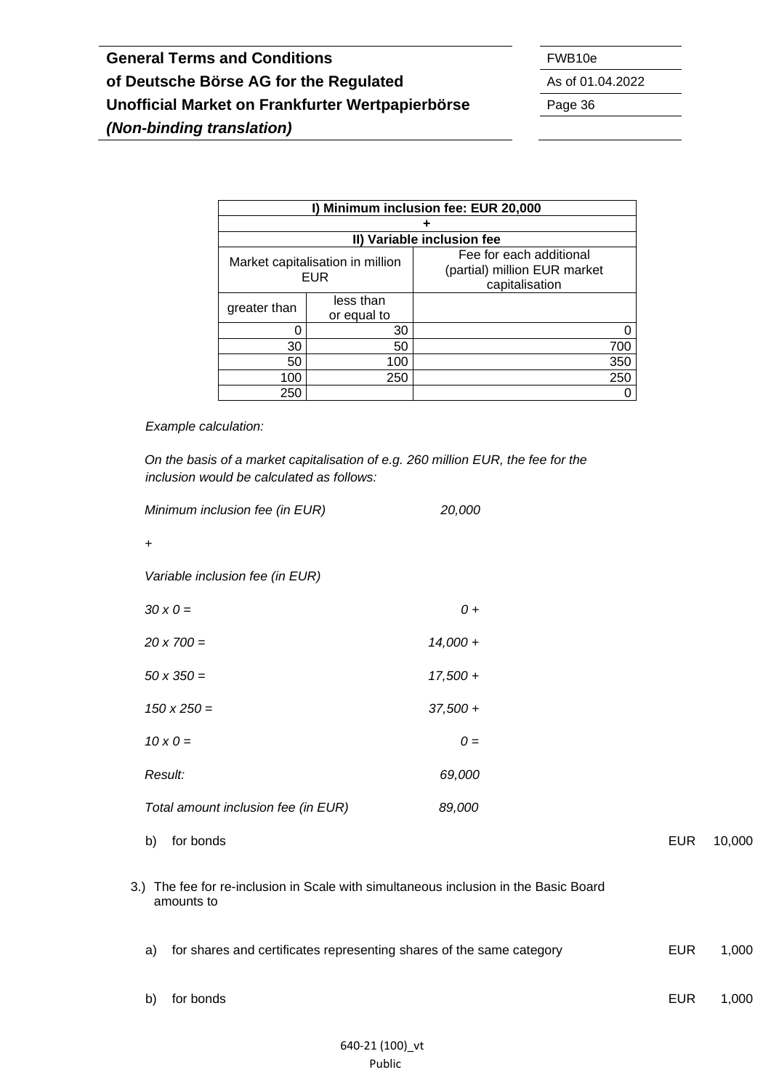| I) Minimum inclusion fee: EUR 20,000 |                                         |                                                                           |     |  |
|--------------------------------------|-----------------------------------------|---------------------------------------------------------------------------|-----|--|
|                                      |                                         |                                                                           |     |  |
|                                      |                                         | II) Variable inclusion fee                                                |     |  |
|                                      | Market capitalisation in million<br>EUR | Fee for each additional<br>(partial) million EUR market<br>capitalisation |     |  |
| greater than                         | less than<br>or equal to                |                                                                           |     |  |
|                                      | 30                                      |                                                                           |     |  |
| 30                                   | 50                                      |                                                                           | 700 |  |
| 50                                   | 100                                     |                                                                           | 350 |  |
| 100                                  | 250                                     |                                                                           | 250 |  |
| 250                                  |                                         |                                                                           |     |  |

*Example calculation:*

*On the basis of a market capitalisation of e.g. 260 million EUR, the fee for the inclusion would be calculated as follows:*

|    | Minimum inclusion fee (in EUR)                                                                     | 20,000     |            |        |
|----|----------------------------------------------------------------------------------------------------|------------|------------|--------|
| +  |                                                                                                    |            |            |        |
|    | Variable inclusion fee (in EUR)                                                                    |            |            |        |
|    | $30 \times 0 =$                                                                                    | $0 +$      |            |        |
|    | $20 \times 700 =$                                                                                  | $14,000 +$ |            |        |
|    | $50 \times 350 =$                                                                                  | $17,500 +$ |            |        |
|    | $150 \times 250 =$                                                                                 | $37,500 +$ |            |        |
|    | $10 \times 0 =$                                                                                    | $0 =$      |            |        |
|    | Result:                                                                                            | 69,000     |            |        |
|    | Total amount inclusion fee (in EUR)                                                                | 89,000     |            |        |
| b) | for bonds                                                                                          |            | <b>EUR</b> | 10,000 |
|    | 3.) The fee for re-inclusion in Scale with simultaneous inclusion in the Basic Board<br>amounts to |            |            |        |
| a) | for shares and certificates representing shares of the same category                               |            | <b>EUR</b> | 1,000  |
| b) | for bonds                                                                                          |            | <b>EUR</b> | 1,000  |
|    |                                                                                                    |            |            |        |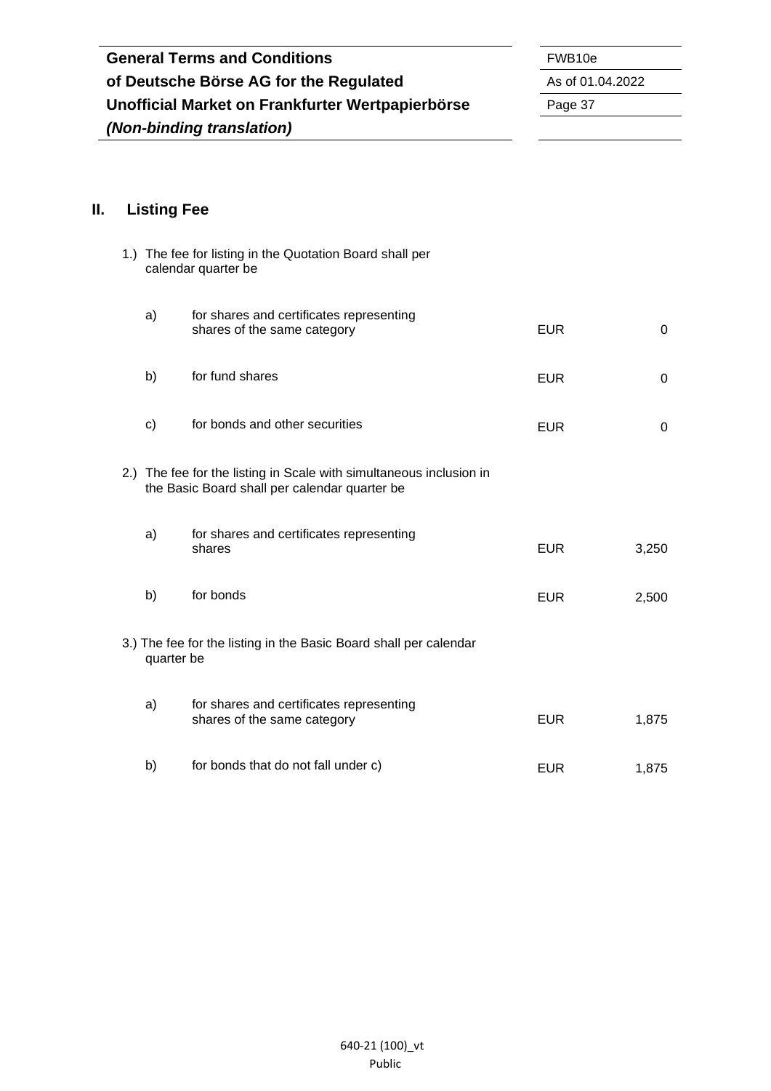| <b>General Terms and Conditions</b>              | FWB <sub>10e</sub> |
|--------------------------------------------------|--------------------|
| of Deutsche Börse AG for the Regulated           | As of 01.04.2022   |
| Unofficial Market on Frankfurter Wertpapierbörse | Page 37            |
| (Non-binding translation)                        |                    |

 $\overline{\phantom{a}}$  $\overline{\phantom{0}}$ 

# <span id="page-36-0"></span>**II. Listing Fee**

|                                                                                                                      | 1.) The fee for listing in the Quotation Board shall per<br>calendar quarter be |            |          |
|----------------------------------------------------------------------------------------------------------------------|---------------------------------------------------------------------------------|------------|----------|
| a)                                                                                                                   | for shares and certificates representing<br>shares of the same category         | <b>EUR</b> | $\Omega$ |
| b)                                                                                                                   | for fund shares                                                                 | <b>EUR</b> | 0        |
| $\mathsf{c})$                                                                                                        | for bonds and other securities                                                  | <b>EUR</b> | $\Omega$ |
| 2.) The fee for the listing in Scale with simultaneous inclusion in<br>the Basic Board shall per calendar quarter be |                                                                                 |            |          |
| a)                                                                                                                   | for shares and certificates representing<br>shares                              | <b>EUR</b> | 3,250    |
| b)                                                                                                                   | for bonds                                                                       | <b>EUR</b> | 2,500    |
| 3.) The fee for the listing in the Basic Board shall per calendar<br>quarter be                                      |                                                                                 |            |          |
| a)                                                                                                                   | for shares and certificates representing<br>shares of the same category         | <b>EUR</b> | 1,875    |
| b)                                                                                                                   | for bonds that do not fall under c)                                             | <b>EUR</b> | 1,875    |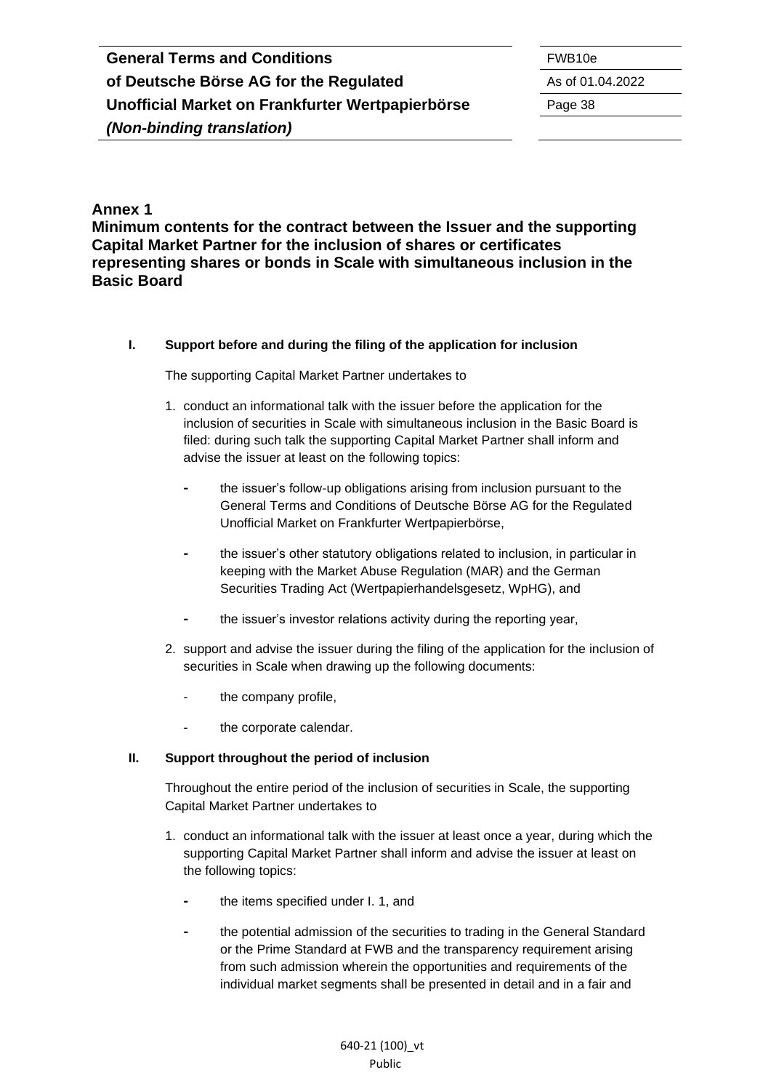#### <span id="page-37-0"></span>**Annex 1**

**Minimum contents for the contract between the Issuer and the supporting Capital Market Partner for the inclusion of shares or certificates representing shares or bonds in Scale with simultaneous inclusion in the Basic Board**

#### **I. Support before and during the filing of the application for inclusion**

The supporting Capital Market Partner undertakes to

- 1. conduct an informational talk with the issuer before the application for the inclusion of securities in Scale with simultaneous inclusion in the Basic Board is filed: during such talk the supporting Capital Market Partner shall inform and advise the issuer at least on the following topics:
	- **-** the issuer's follow-up obligations arising from inclusion pursuant to the General Terms and Conditions of Deutsche Börse AG for the Regulated Unofficial Market on Frankfurter Wertpapierbörse,
	- **-** the issuer's other statutory obligations related to inclusion, in particular in keeping with the Market Abuse Regulation (MAR) and the German Securities Trading Act (Wertpapierhandelsgesetz, WpHG), and
	- **-** the issuer's investor relations activity during the reporting year,
- 2. support and advise the issuer during the filing of the application for the inclusion of securities in Scale when drawing up the following documents:
	- the company profile,
	- the corporate calendar.

#### **II. Support throughout the period of inclusion**

Throughout the entire period of the inclusion of securities in Scale, the supporting Capital Market Partner undertakes to

- 1. conduct an informational talk with the issuer at least once a year, during which the supporting Capital Market Partner shall inform and advise the issuer at least on the following topics:
	- **-** the items specified under I. 1, and
	- **-** the potential admission of the securities to trading in the General Standard or the Prime Standard at FWB and the transparency requirement arising from such admission wherein the opportunities and requirements of the individual market segments shall be presented in detail and in a fair and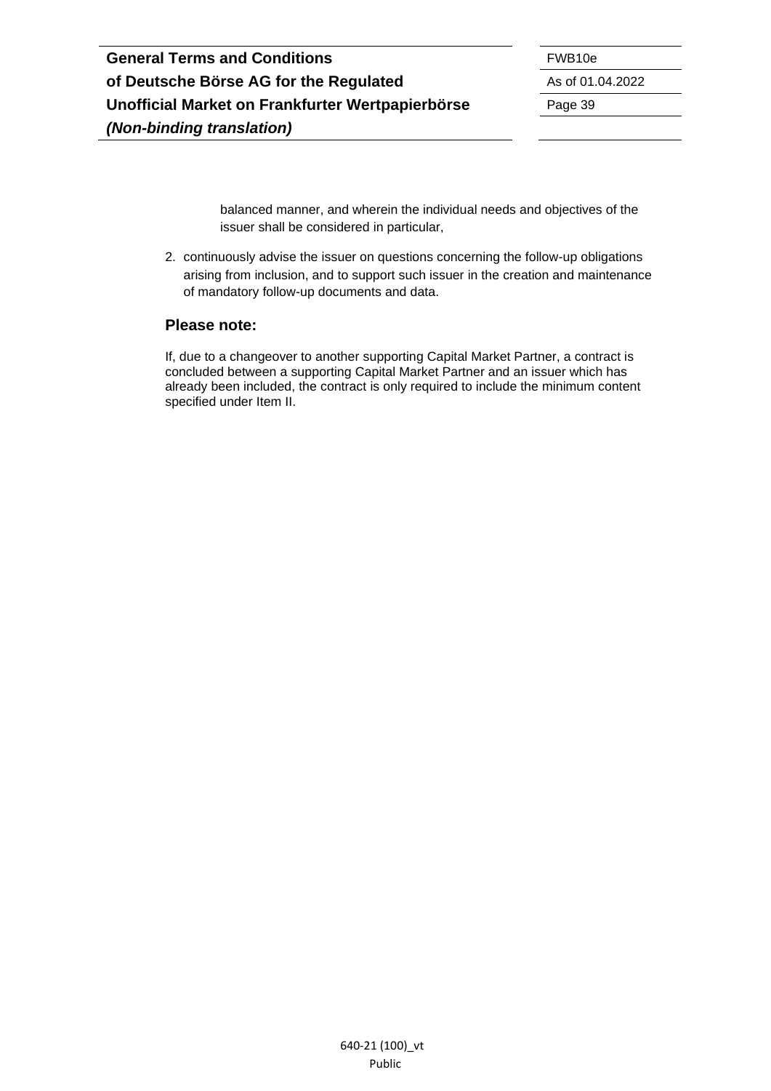balanced manner, and wherein the individual needs and objectives of the issuer shall be considered in particular,

2. continuously advise the issuer on questions concerning the follow-up obligations arising from inclusion, and to support such issuer in the creation and maintenance of mandatory follow-up documents and data.

#### **Please note:**

If, due to a changeover to another supporting Capital Market Partner, a contract is concluded between a supporting Capital Market Partner and an issuer which has already been included, the contract is only required to include the minimum content specified under Item II.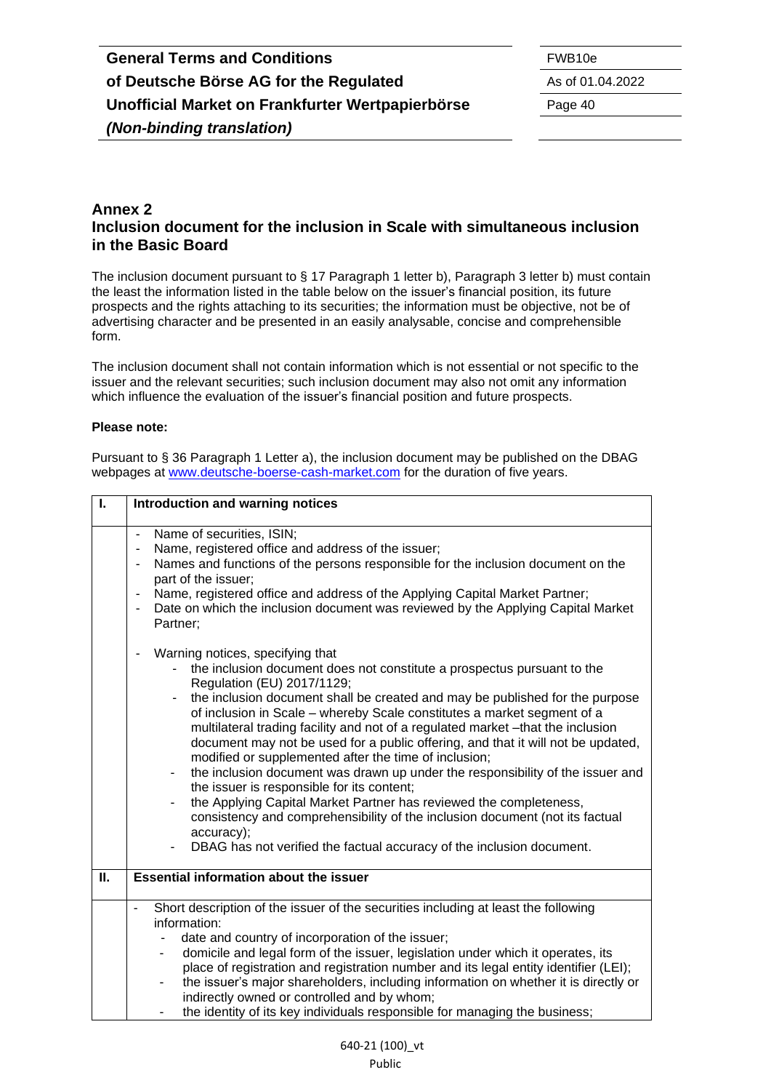#### <span id="page-39-0"></span>**Annex 2 Inclusion document for the inclusion in Scale with simultaneous inclusion in the Basic Board**

The inclusion document pursuant to § 17 Paragraph 1 letter b), Paragraph 3 letter b) must contain the least the information listed in the table below on the issuer's financial position, its future prospects and the rights attaching to its securities; the information must be objective, not be of advertising character and be presented in an easily analysable, concise and comprehensible form.

The inclusion document shall not contain information which is not essential or not specific to the issuer and the relevant securities; such inclusion document may also not omit any information which influence the evaluation of the issuer's financial position and future prospects.

#### **Please note:**

Pursuant to § 36 Paragraph 1 Letter a), the inclusion document may be published on the DBAG webpages at [www.deutsche-boerse-cash-market.com](http://www.deutsche-boerse-cash-market.com/) for the duration of five years.

| $\mathbf{I}$ | Introduction and warning notices                                                                                                                                                                                                                                                                                                                                                                                                                                                                                                                                                                                                                                                                                                                                                                                                                                                                                                                                          |  |  |
|--------------|---------------------------------------------------------------------------------------------------------------------------------------------------------------------------------------------------------------------------------------------------------------------------------------------------------------------------------------------------------------------------------------------------------------------------------------------------------------------------------------------------------------------------------------------------------------------------------------------------------------------------------------------------------------------------------------------------------------------------------------------------------------------------------------------------------------------------------------------------------------------------------------------------------------------------------------------------------------------------|--|--|
|              | Name of securities, ISIN;<br>Name, registered office and address of the issuer;<br>$\blacksquare$<br>Names and functions of the persons responsible for the inclusion document on the<br>$\overline{\phantom{a}}$<br>part of the issuer;<br>Name, registered office and address of the Applying Capital Market Partner;<br>$\blacksquare$<br>Date on which the inclusion document was reviewed by the Applying Capital Market<br>$\blacksquare$<br>Partner;                                                                                                                                                                                                                                                                                                                                                                                                                                                                                                               |  |  |
|              | Warning notices, specifying that<br>$\overline{\phantom{a}}$<br>the inclusion document does not constitute a prospectus pursuant to the<br>Regulation (EU) 2017/1129;<br>the inclusion document shall be created and may be published for the purpose<br>of inclusion in Scale - whereby Scale constitutes a market segment of a<br>multilateral trading facility and not of a regulated market -that the inclusion<br>document may not be used for a public offering, and that it will not be updated,<br>modified or supplemented after the time of inclusion;<br>the inclusion document was drawn up under the responsibility of the issuer and<br>the issuer is responsible for its content;<br>the Applying Capital Market Partner has reviewed the completeness,<br>$\overline{\phantom{m}}$<br>consistency and comprehensibility of the inclusion document (not its factual<br>accuracy);<br>DBAG has not verified the factual accuracy of the inclusion document. |  |  |
| Ш.           | <b>Essential information about the issuer</b>                                                                                                                                                                                                                                                                                                                                                                                                                                                                                                                                                                                                                                                                                                                                                                                                                                                                                                                             |  |  |
|              | Short description of the issuer of the securities including at least the following<br>information:<br>date and country of incorporation of the issuer;<br>domicile and legal form of the issuer, legislation under which it operates, its<br>$\overline{\phantom{a}}$<br>place of registration and registration number and its legal entity identifier (LEI);<br>the issuer's major shareholders, including information on whether it is directly or<br>$\overline{\phantom{a}}$<br>indirectly owned or controlled and by whom;<br>the identity of its key individuals responsible for managing the business;                                                                                                                                                                                                                                                                                                                                                             |  |  |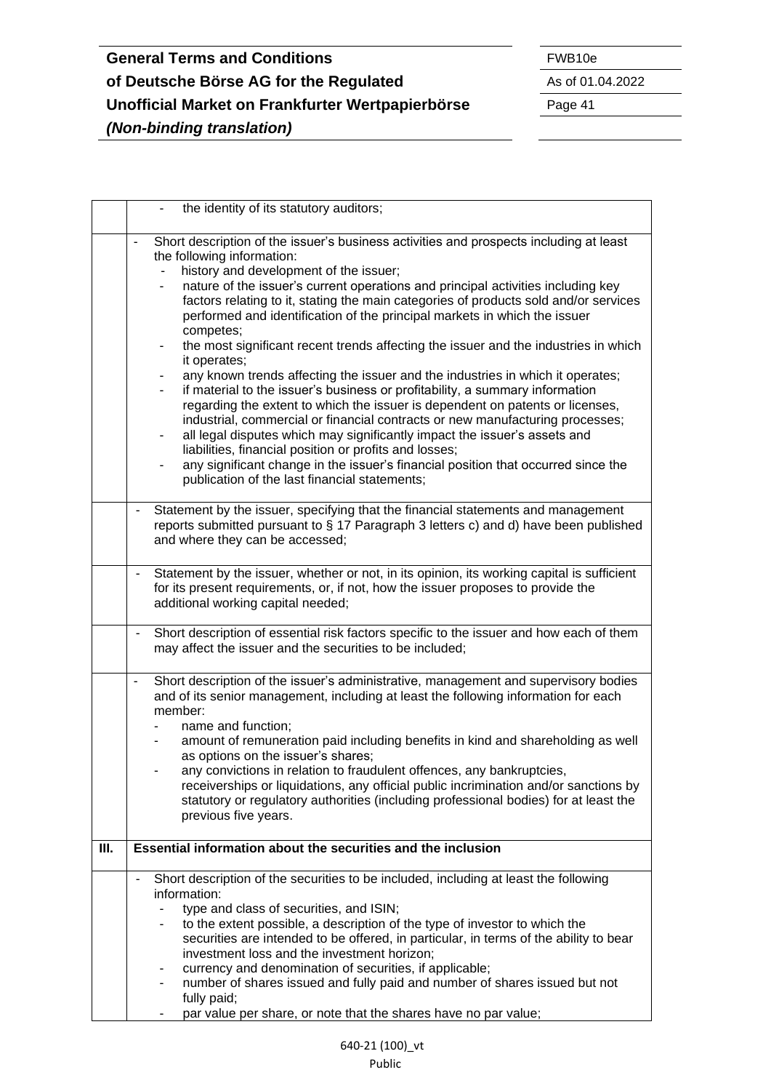|    | the identity of its statutory auditors;                                                                                                                                                                                                                                                                                                                                                                                                                                                                                                                                                                                                                                                                                                                                                                                                                                                                                                                                                                                                                                                                                                                            |  |
|----|--------------------------------------------------------------------------------------------------------------------------------------------------------------------------------------------------------------------------------------------------------------------------------------------------------------------------------------------------------------------------------------------------------------------------------------------------------------------------------------------------------------------------------------------------------------------------------------------------------------------------------------------------------------------------------------------------------------------------------------------------------------------------------------------------------------------------------------------------------------------------------------------------------------------------------------------------------------------------------------------------------------------------------------------------------------------------------------------------------------------------------------------------------------------|--|
|    | Short description of the issuer's business activities and prospects including at least<br>the following information:<br>history and development of the issuer;<br>nature of the issuer's current operations and principal activities including key<br>factors relating to it, stating the main categories of products sold and/or services<br>performed and identification of the principal markets in which the issuer<br>competes;<br>the most significant recent trends affecting the issuer and the industries in which<br>it operates;<br>any known trends affecting the issuer and the industries in which it operates;<br>۰.<br>if material to the issuer's business or profitability, a summary information<br>regarding the extent to which the issuer is dependent on patents or licenses,<br>industrial, commercial or financial contracts or new manufacturing processes;<br>all legal disputes which may significantly impact the issuer's assets and<br>liabilities, financial position or profits and losses;<br>any significant change in the issuer's financial position that occurred since the<br>publication of the last financial statements; |  |
|    | Statement by the issuer, specifying that the financial statements and management<br>$\overline{\phantom{0}}$<br>reports submitted pursuant to $\S$ 17 Paragraph 3 letters c) and d) have been published<br>and where they can be accessed;                                                                                                                                                                                                                                                                                                                                                                                                                                                                                                                                                                                                                                                                                                                                                                                                                                                                                                                         |  |
|    | Statement by the issuer, whether or not, in its opinion, its working capital is sufficient<br>for its present requirements, or, if not, how the issuer proposes to provide the<br>additional working capital needed;                                                                                                                                                                                                                                                                                                                                                                                                                                                                                                                                                                                                                                                                                                                                                                                                                                                                                                                                               |  |
|    | Short description of essential risk factors specific to the issuer and how each of them<br>$\qquad \qquad \blacksquare$<br>may affect the issuer and the securities to be included;                                                                                                                                                                                                                                                                                                                                                                                                                                                                                                                                                                                                                                                                                                                                                                                                                                                                                                                                                                                |  |
|    | Short description of the issuer's administrative, management and supervisory bodies<br>$\blacksquare$<br>and of its senior management, including at least the following information for each<br>member:<br>name and function;<br>amount of remuneration paid including benefits in kind and shareholding as well<br>as options on the issuer's shares;<br>any convictions in relation to fraudulent offences, any bankruptcies,<br>receiverships or liquidations, any official public incrimination and/or sanctions by<br>statutory or regulatory authorities (including professional bodies) for at least the<br>previous five years.                                                                                                                                                                                                                                                                                                                                                                                                                                                                                                                            |  |
| Ш. | Essential information about the securities and the inclusion                                                                                                                                                                                                                                                                                                                                                                                                                                                                                                                                                                                                                                                                                                                                                                                                                                                                                                                                                                                                                                                                                                       |  |
|    | Short description of the securities to be included, including at least the following<br>information:<br>type and class of securities, and ISIN;<br>to the extent possible, a description of the type of investor to which the<br>securities are intended to be offered, in particular, in terms of the ability to bear<br>investment loss and the investment horizon;<br>currency and denomination of securities, if applicable;<br>number of shares issued and fully paid and number of shares issued but not<br>fully paid;<br>par value per share, or note that the shares have no par value;                                                                                                                                                                                                                                                                                                                                                                                                                                                                                                                                                                   |  |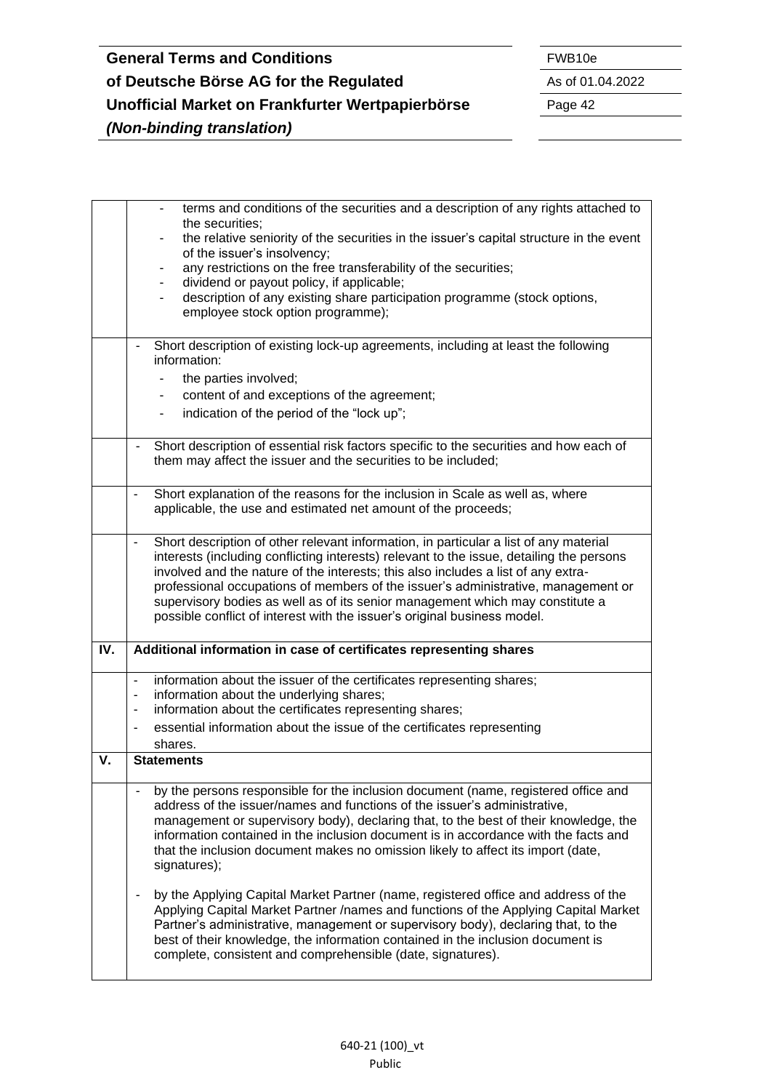|     | terms and conditions of the securities and a description of any rights attached to                                     |  |
|-----|------------------------------------------------------------------------------------------------------------------------|--|
|     | the securities:                                                                                                        |  |
|     | the relative seniority of the securities in the issuer's capital structure in the event<br>of the issuer's insolvency; |  |
|     | any restrictions on the free transferability of the securities;<br>٠                                                   |  |
|     | dividend or payout policy, if applicable;<br>٠                                                                         |  |
|     | description of any existing share participation programme (stock options,<br>$\overline{\phantom{0}}$                  |  |
|     | employee stock option programme);                                                                                      |  |
|     |                                                                                                                        |  |
|     | Short description of existing lock-up agreements, including at least the following<br>$\overline{\phantom{0}}$         |  |
|     | information:                                                                                                           |  |
|     | the parties involved;                                                                                                  |  |
|     | content of and exceptions of the agreement;                                                                            |  |
|     | indication of the period of the "lock up";                                                                             |  |
|     |                                                                                                                        |  |
|     | Short description of essential risk factors specific to the securities and how each of                                 |  |
|     | them may affect the issuer and the securities to be included;                                                          |  |
|     |                                                                                                                        |  |
|     | Short explanation of the reasons for the inclusion in Scale as well as, where<br>$\blacksquare$                        |  |
|     | applicable, the use and estimated net amount of the proceeds;                                                          |  |
|     |                                                                                                                        |  |
|     | Short description of other relevant information, in particular a list of any material<br>$\blacksquare$                |  |
|     | interests (including conflicting interests) relevant to the issue, detailing the persons                               |  |
|     | involved and the nature of the interests; this also includes a list of any extra-                                      |  |
|     | professional occupations of members of the issuer's administrative, management or                                      |  |
|     | supervisory bodies as well as of its senior management which may constitute a                                          |  |
|     | possible conflict of interest with the issuer's original business model.                                               |  |
| IV. | Additional information in case of certificates representing shares                                                     |  |
|     |                                                                                                                        |  |
|     | information about the issuer of the certificates representing shares;<br>$\overline{\phantom{a}}$                      |  |
|     | information about the underlying shares;<br>$\overline{\phantom{a}}$                                                   |  |
|     | information about the certificates representing shares;<br>$\blacksquare$                                              |  |
|     | essential information about the issue of the certificates representing<br>$\overline{\phantom{a}}$                     |  |
|     | shares.                                                                                                                |  |
| v.  | <b>Statements</b>                                                                                                      |  |
|     |                                                                                                                        |  |
|     | by the persons responsible for the inclusion document (name, registered office and                                     |  |
|     | address of the issuer/names and functions of the issuer's administrative,                                              |  |
|     | management or supervisory body), declaring that, to the best of their knowledge, the                                   |  |
|     | information contained in the inclusion document is in accordance with the facts and                                    |  |
|     | that the inclusion document makes no omission likely to affect its import (date,                                       |  |
|     |                                                                                                                        |  |
|     | signatures);                                                                                                           |  |
|     |                                                                                                                        |  |
|     | by the Applying Capital Market Partner (name, registered office and address of the                                     |  |
|     | Applying Capital Market Partner /names and functions of the Applying Capital Market                                    |  |
|     | Partner's administrative, management or supervisory body), declaring that, to the                                      |  |
|     | best of their knowledge, the information contained in the inclusion document is                                        |  |
|     |                                                                                                                        |  |
|     | complete, consistent and comprehensible (date, signatures).                                                            |  |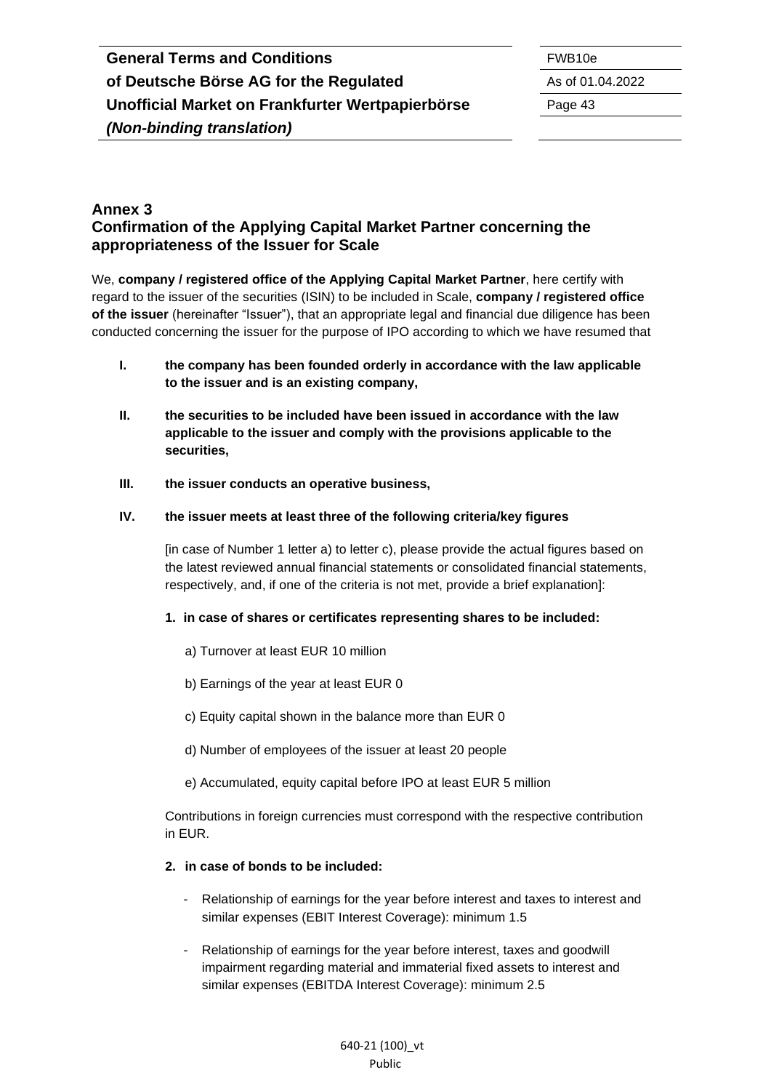#### <span id="page-42-0"></span>**Annex 3 Confirmation of the Applying Capital Market Partner concerning the appropriateness of the Issuer for Scale**

We, **company / registered office of the Applying Capital Market Partner**, here certify with regard to the issuer of the securities (ISIN) to be included in Scale, **company / registered office of the issuer** (hereinafter "Issuer"), that an appropriate legal and financial due diligence has been conducted concerning the issuer for the purpose of IPO according to which we have resumed that

- **I. the company has been founded orderly in accordance with the law applicable to the issuer and is an existing company,**
- **II. the securities to be included have been issued in accordance with the law applicable to the issuer and comply with the provisions applicable to the securities,**
- **III. the issuer conducts an operative business,**

#### **IV. the issuer meets at least three of the following criteria/key figures**

[in case of Number 1 letter a) to letter c), please provide the actual figures based on the latest reviewed annual financial statements or consolidated financial statements, respectively, and, if one of the criteria is not met, provide a brief explanation]:

#### **1. in case of shares or certificates representing shares to be included:**

- a) Turnover at least EUR 10 million
- b) Earnings of the year at least EUR 0
- c) Equity capital shown in the balance more than EUR 0
- d) Number of employees of the issuer at least 20 people
- e) Accumulated, equity capital before IPO at least EUR 5 million

Contributions in foreign currencies must correspond with the respective contribution in EUR.

#### **2. in case of bonds to be included:**

- Relationship of earnings for the year before interest and taxes to interest and similar expenses (EBIT Interest Coverage): minimum 1.5
- Relationship of earnings for the year before interest, taxes and goodwill impairment regarding material and immaterial fixed assets to interest and similar expenses (EBITDA Interest Coverage): minimum 2.5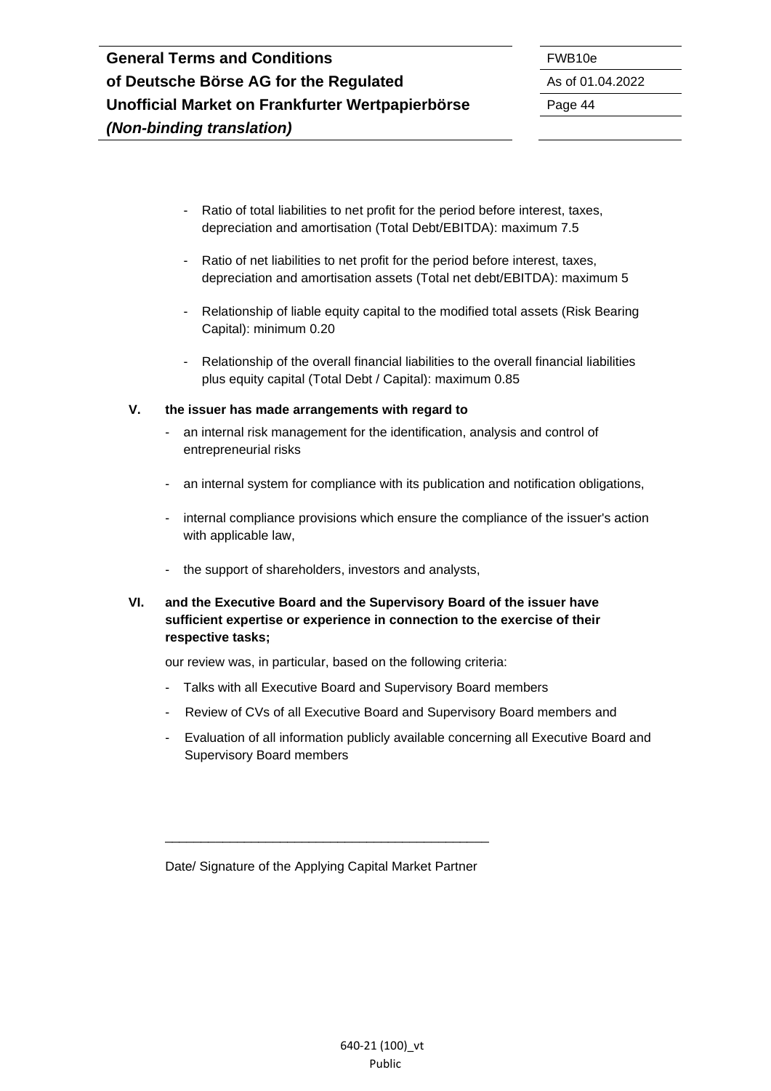- Ratio of total liabilities to net profit for the period before interest, taxes, depreciation and amortisation (Total Debt/EBITDA): maximum 7.5
- Ratio of net liabilities to net profit for the period before interest, taxes, depreciation and amortisation assets (Total net debt/EBITDA): maximum 5
- Relationship of liable equity capital to the modified total assets (Risk Bearing Capital): minimum 0.20
- Relationship of the overall financial liabilities to the overall financial liabilities plus equity capital (Total Debt / Capital): maximum 0.85

#### **V. the issuer has made arrangements with regard to**

- an internal risk management for the identification, analysis and control of entrepreneurial risks
- an internal system for compliance with its publication and notification obligations,
- internal compliance provisions which ensure the compliance of the issuer's action with applicable law,
- the support of shareholders, investors and analysts,
- **VI. and the Executive Board and the Supervisory Board of the issuer have sufficient expertise or experience in connection to the exercise of their respective tasks;**

our review was, in particular, based on the following criteria:

- Talks with all Executive Board and Supervisory Board members
- Review of CVs of all Executive Board and Supervisory Board members and
- Evaluation of all information publicly available concerning all Executive Board and Supervisory Board members

Date/ Signature of the Applying Capital Market Partner

\_\_\_\_\_\_\_\_\_\_\_\_\_\_\_\_\_\_\_\_\_\_\_\_\_\_\_\_\_\_\_\_\_\_\_\_\_\_\_\_\_\_\_\_\_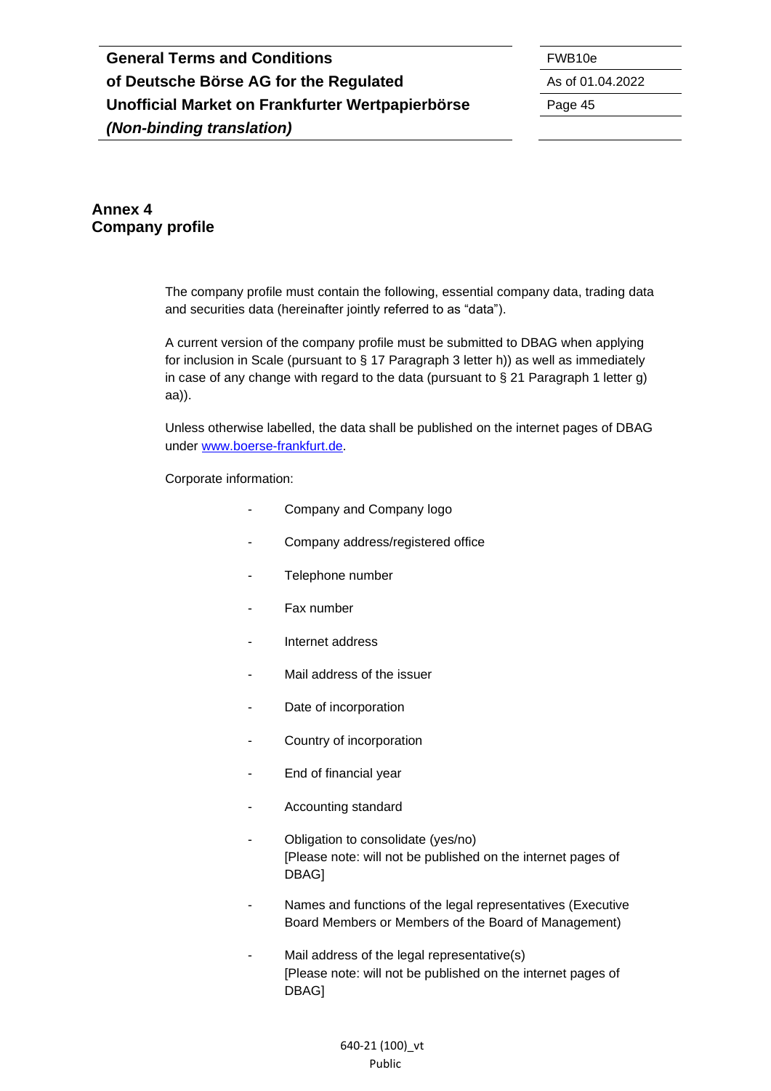# **General Terms and Conditions** FWB10e **of Deutsche Börse AG for the Regulated** As of 01.04.2022 **Unofficial Market on Frankfurter Wertpapierbörse** Page 45 *(Non-binding translation)*

### <span id="page-44-0"></span>**Annex 4 Company profile**

The company profile must contain the following, essential company data, trading data and securities data (hereinafter jointly referred to as "data").

A current version of the company profile must be submitted to DBAG when applying for inclusion in Scale (pursuant to § 17 Paragraph 3 letter h)) as well as immediately in case of any change with regard to the data (pursuant to  $\S$  21 Paragraph 1 letter g) aa)).

Unless otherwise labelled, the data shall be published on the internet pages of DBAG under [www.boerse-frankfurt.de.](http://www.boerse-frankfurt.de/)

Corporate information:

- Company and Company logo
- Company address/registered office
- Telephone number
- Fax number
- Internet address
- Mail address of the issuer
- Date of incorporation
- Country of incorporation
- End of financial year
- Accounting standard
- Obligation to consolidate (yes/no) [Please note: will not be published on the internet pages of DBAG]
- Names and functions of the legal representatives (Executive Board Members or Members of the Board of Management)
- Mail address of the legal representative(s) [Please note: will not be published on the internet pages of DBAG]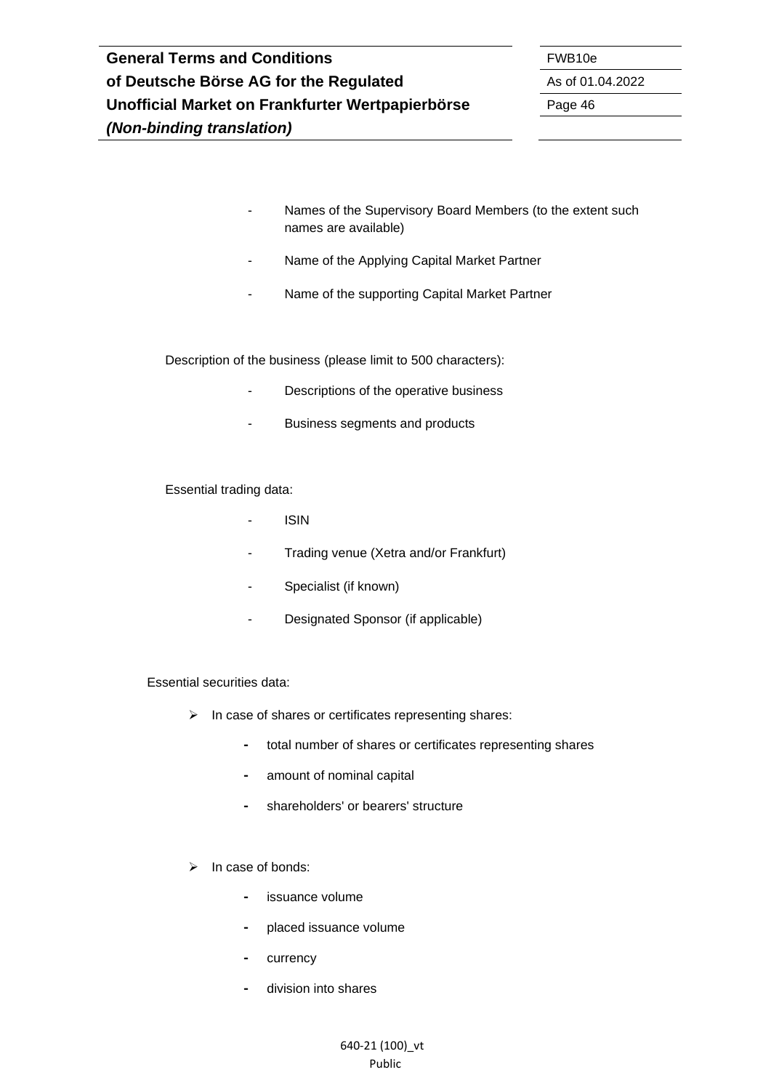- Names of the Supervisory Board Members (to the extent such names are available)
- Name of the Applying Capital Market Partner
- Name of the supporting Capital Market Partner

Description of the business (please limit to 500 characters):

- Descriptions of the operative business
- Business segments and products

Essential trading data:

- ISIN
- Trading venue (Xetra and/or Frankfurt)
- Specialist (if known)
- Designated Sponsor (if applicable)

Essential securities data:

- ➢ In case of shares or certificates representing shares:
	- **-** total number of shares or certificates representing shares
	- **-** amount of nominal capital
	- **-** shareholders' or bearers' structure
- ➢ In case of bonds:
	- **-** issuance volume
	- **-** placed issuance volume
	- **-** currency
	- **-** division into shares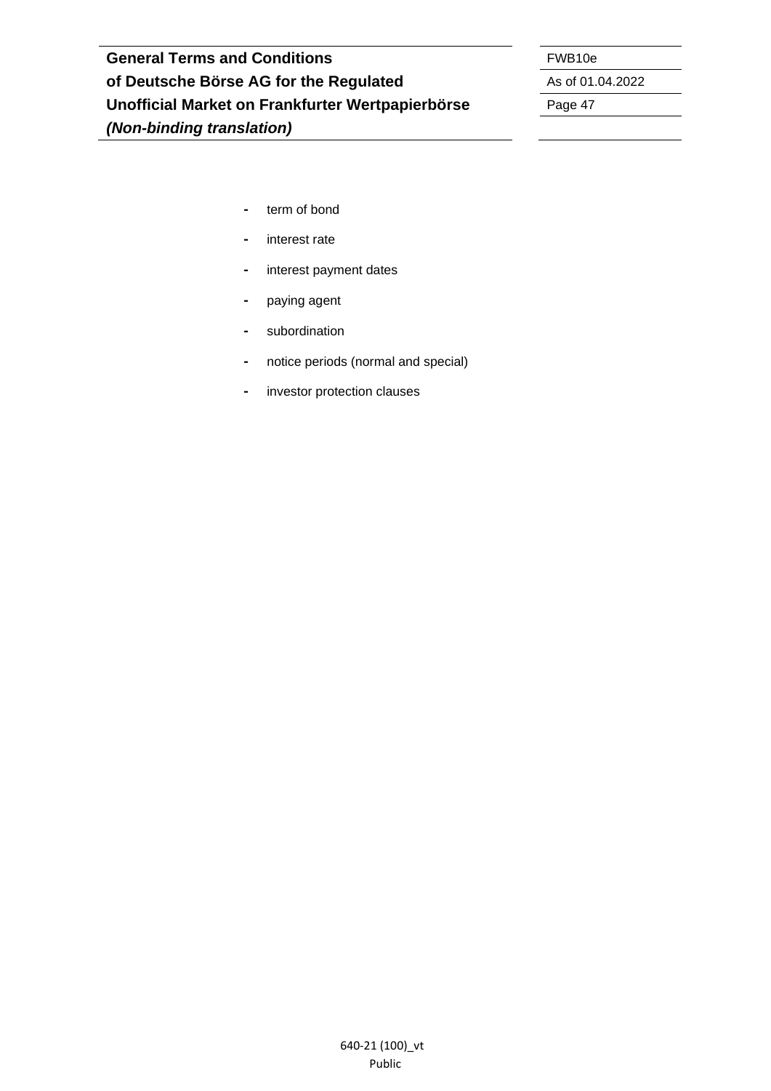- **-** term of bond
- **-** interest rate
- **-** interest payment dates
- **-** paying agent
- **-** subordination
- **-** notice periods (normal and special)
- **-** investor protection clauses